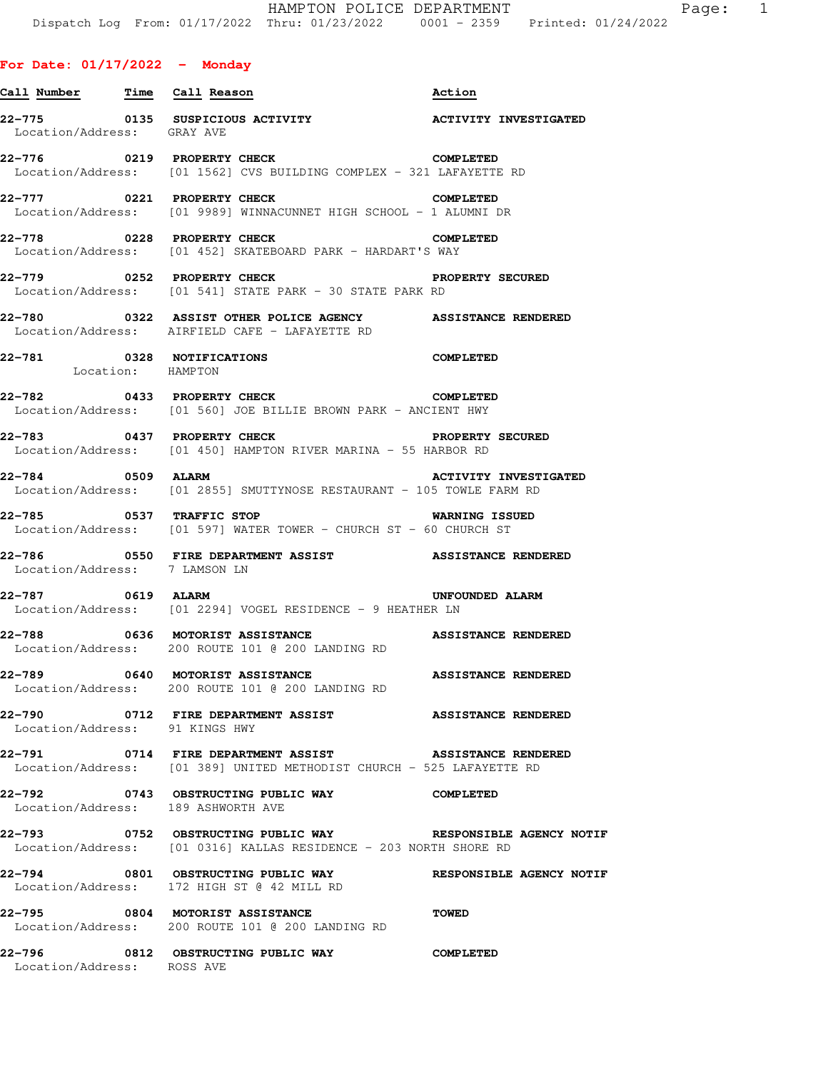| Call Number Time Call Reason             |                                                                                                                                 | Action                       |
|------------------------------------------|---------------------------------------------------------------------------------------------------------------------------------|------------------------------|
| Location/Address: GRAY AVE               | 22-775 0135 SUSPICIOUS ACTIVITY                                                                                                 | <b>ACTIVITY INVESTIGATED</b> |
|                                          | 22-776 0219 PROPERTY CHECK<br>Location/Address: [01 1562] CVS BUILDING COMPLEX - 321 LAFAYETTE RD                               | <b>COMPLETED</b>             |
|                                          | 22-777 0221 PROPERTY CHECK COMPLETED<br>Location/Address: [01 9989] WINNACUNNET HIGH SCHOOL - 1 ALUMNI DR                       |                              |
| 22–778                                   | 0228 PROPERTY CHECK<br>Location/Address: [01 452] SKATEBOARD PARK - HARDART'S WAY                                               | COMPLETED                    |
|                                          | 22-779 0252 PROPERTY CHECK<br><b>PROPERTY SECURED</b><br>Location/Address: [01 541] STATE PARK - 30 STATE PARK RD               |                              |
| 22-780                                   | 0322 ASSIST OTHER POLICE AGENCY ASSISTANCE RENDERED<br>Location/Address: AIRFIELD CAFE - LAFAYETTE RD                           |                              |
| Location: HAMPTON                        | 22-781 0328 NOTIFICATIONS                                                                                                       | <b>COMPLETED</b>             |
|                                          | 22-782 0433 PROPERTY CHECK<br>Location/Address: [01 560] JOE BILLIE BROWN PARK - ANCIENT HWY                                    | <b>COMPLETED</b>             |
|                                          | 22-783 0437 PROPERTY CHECK PROPERTY SECURED<br>Location/Address: [01 450] HAMPTON RIVER MARINA - 55 HARBOR RD                   |                              |
| 22-784 0509 ALARM                        | Location/Address: [01 2855] SMUTTYNOSE RESTAURANT - 105 TOWLE FARM RD                                                           | <b>ACTIVITY INVESTIGATED</b> |
|                                          | 22-785 0537 TRAFFIC STOP<br>Location/Address: [01 597] WATER TOWER - CHURCH ST - 60 CHURCH ST                                   | <b>WARNING ISSUED</b>        |
| Location/Address: 7 LAMSON LN            |                                                                                                                                 |                              |
| 22-787 0619 ALARM                        | Location/Address: [01 2294] VOGEL RESIDENCE - 9 HEATHER LN                                                                      | UNFOUNDED ALARM              |
|                                          | 22-788 6636 MOTORIST ASSISTANCE ASSISTANCE RENDERED<br>Location/Address: 200 ROUTE 101 @ 200 LANDING RD                         |                              |
| 22-789                                   | 0640 MOTORIST ASSISTANCE<br>Location/Address: 200 ROUTE 101 @ 200 LANDING RD                                                    | <b>ASSISTANCE RENDERED</b>   |
| 22-790<br>Location/Address: 91 KINGS HWY | 0712 FIRE DEPARTMENT ASSIST ASSISTANCE RENDERED                                                                                 |                              |
|                                          | 22-791 0714 FIRE DEPARTMENT ASSIST ASSISTANCE RENDERED<br>Location/Address: [01 389] UNITED METHODIST CHURCH - 525 LAFAYETTE RD |                              |
|                                          | 22-792 0743 OBSTRUCTING PUBLIC WAY COMPLETED<br>Location/Address: 189 ASHWORTH AVE                                              |                              |
|                                          | 22-793 0752 OBSTRUCTING PUBLIC WAY<br>Location/Address: [01 0316] KALLAS RESIDENCE - 203 NORTH SHORE RD                         | RESPONSIBLE AGENCY NOTIF     |
|                                          | 22-794 0801 OBSTRUCTING PUBLIC WAY RESPONSIBLE AGENCY NOTIF<br>Location/Address: 172 HIGH ST @ 42 MILL RD                       |                              |
|                                          | 22-795 0804 MOTORIST ASSISTANCE<br>Location/Address: 200 ROUTE 101 @ 200 LANDING RD                                             | <b>TOWED</b>                 |
| Location/Address: ROSS AVE               | 22-796 0812 OBSTRUCTING PUBLIC WAY                                                                                              | <b>COMPLETED</b>             |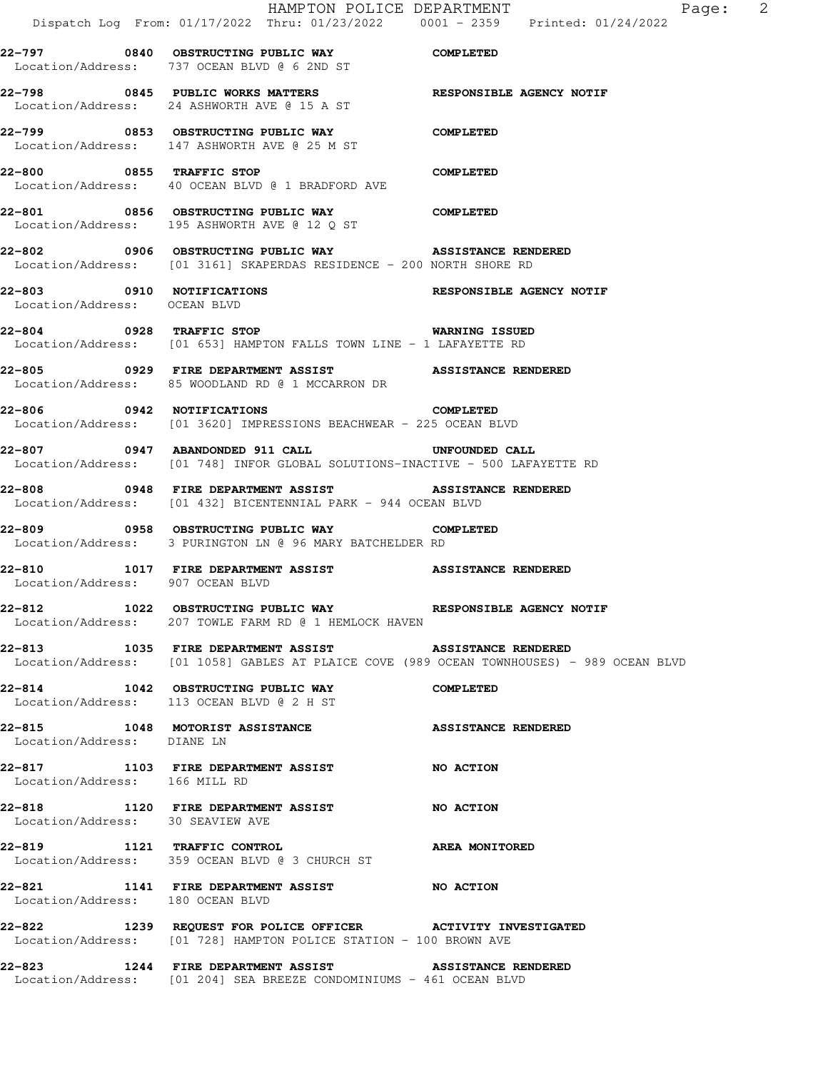HAMPTON POLICE DEPARTMENT Fage: 2 Dispatch Log From: 01/17/2022 Thru: 01/23/2022 0001 - 2359 Printed: 01/24/2022 **22-797 0840 OBSTRUCTING PUBLIC WAY COMPLETED**  Location/Address: 737 OCEAN BLVD @ 6 2ND ST **22-798 0845 PUBLIC WORKS MATTERS RESPONSIBLE AGENCY NOTIF**  Location/Address: 24 ASHWORTH AVE @ 15 A ST **22-799 0853 OBSTRUCTING PUBLIC WAY COMPLETED**  Location/Address: 147 ASHWORTH AVE @ 25 M ST **22-800 0855 TRAFFIC STOP COMPLETED**  Location/Address: 40 OCEAN BLVD @ 1 BRADFORD AVE **22-801 0856 OBSTRUCTING PUBLIC WAY COMPLETED**  Location/Address: 195 ASHWORTH AVE @ 12 Q ST **22-802 0906 OBSTRUCTING PUBLIC WAY ASSISTANCE RENDERED**  Location/Address: [01 3161] SKAPERDAS RESIDENCE - 200 NORTH SHORE RD **22-803 0910 NOTIFICATIONS RESPONSIBLE AGENCY NOTIF**  Location/Address: OCEAN BLVD **22-804 0928 TRAFFIC STOP WARNING ISSUED**  Location/Address: [01 653] HAMPTON FALLS TOWN LINE - 1 LAFAYETTE RD **22-805 0929 FIRE DEPARTMENT ASSIST ASSISTANCE RENDERED**  Location/Address: 85 WOODLAND RD @ 1 MCCARRON DR **22-806 0942 NOTIFICATIONS COMPLETED**  Location/Address: [01 3620] IMPRESSIONS BEACHWEAR - 225 OCEAN BLVD **22-807 0947 ABANDONDED 911 CALL UNFOUNDED CALL**  Location/Address: [01 748] INFOR GLOBAL SOLUTIONS-INACTIVE - 500 LAFAYETTE RD **22-808 0948 FIRE DEPARTMENT ASSIST ASSISTANCE RENDERED**  Location/Address: [01 432] BICENTENNIAL PARK - 944 OCEAN BLVD **22-809 0958 OBSTRUCTING PUBLIC WAY COMPLETED**  Location/Address: 3 PURINGTON LN @ 96 MARY BATCHELDER RD **22-810 1017 FIRE DEPARTMENT ASSIST ASSISTANCE RENDERED**  Location/Address: 907 OCEAN BLVD **22-812 1022 OBSTRUCTING PUBLIC WAY RESPONSIBLE AGENCY NOTIF**  Location/Address: 207 TOWLE FARM RD @ 1 HEMLOCK HAVEN **22-813 1035 FIRE DEPARTMENT ASSIST ASSISTANCE RENDERED**  Location/Address: [01 1058] GABLES AT PLAICE COVE (989 OCEAN TOWNHOUSES) - 989 OCEAN BLVD **22-814 1042 OBSTRUCTING PUBLIC WAY COMPLETED**  Location/Address: 113 OCEAN BLVD @ 2 H ST **22-815 1048 MOTORIST ASSISTANCE ASSISTANCE RENDERED**  Location/Address: DIANE LN **22-817 1103 FIRE DEPARTMENT ASSIST NO ACTION**  Location/Address: 166 MILL RD **22-818 1120 FIRE DEPARTMENT ASSIST NO ACTION**  Location/Address: 30 SEAVIEW AVE **22-819 1121 TRAFFIC CONTROL AREA MONITORED**  Location/Address: 359 OCEAN BLVD @ 3 CHURCH ST **22-821 1141 FIRE DEPARTMENT ASSIST NO ACTION**  Location/Address: 180 OCEAN BLVD **22-822 1239 REQUEST FOR POLICE OFFICER ACTIVITY INVESTIGATED**  Location/Address: [01 728] HAMPTON POLICE STATION - 100 BROWN AVE **22-823 1244 FIRE DEPARTMENT ASSIST ASSISTANCE RENDERED**  Location/Address: [01 204] SEA BREEZE CONDOMINIUMS - 461 OCEAN BLVD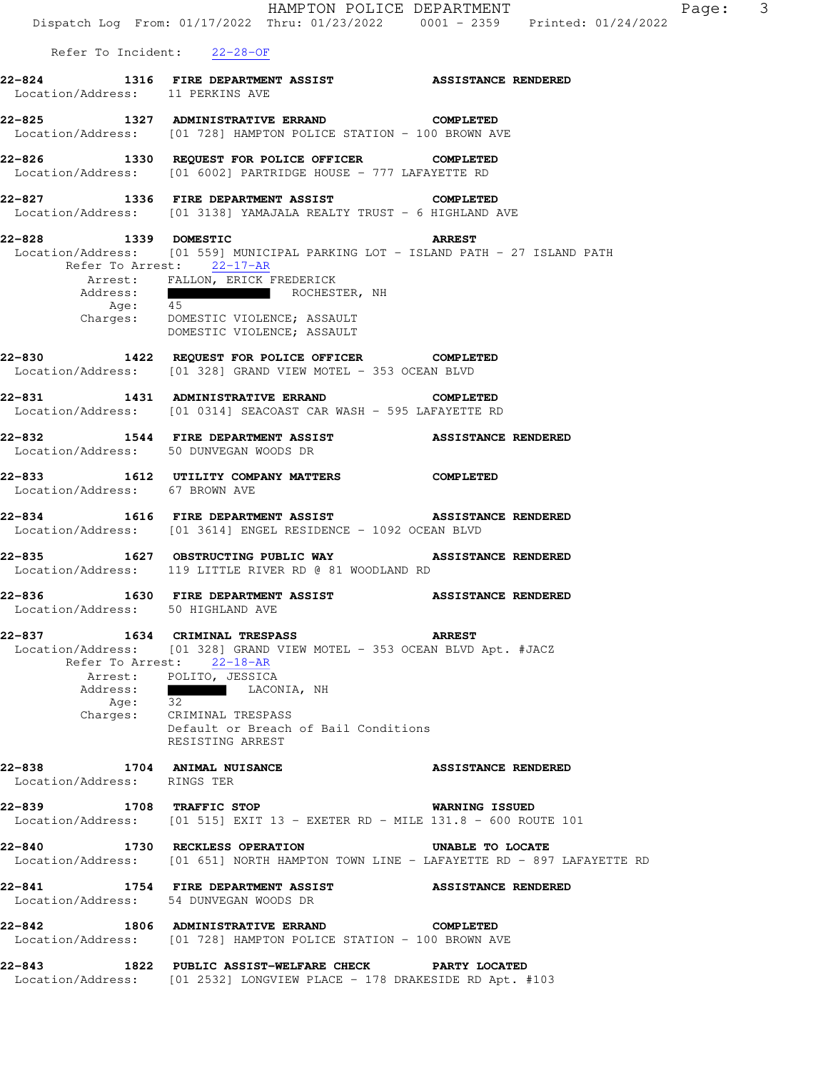|                                                                                                                         |                                                                                   |                                      | HAMPTON POLICE DEPARTMENT                       | Dispatch Log From: 01/17/2022 Thru: 01/23/2022 0001 - 2359 Printed: 01/24/2022       |
|-------------------------------------------------------------------------------------------------------------------------|-----------------------------------------------------------------------------------|--------------------------------------|-------------------------------------------------|--------------------------------------------------------------------------------------|
|                                                                                                                         | Refer To Incident: 22-28-OF                                                       |                                      |                                                 |                                                                                      |
| 22-824 1316 FIRE DEPARTMENT ASSIST ASSISTANCE RENDERED<br>Location/Address: 11 PERKINS AVE                              |                                                                                   |                                      |                                                 |                                                                                      |
| 22-825 1327 ADMINISTRATIVE ERRAND COMPLETED<br>Location/Address: [01 728] HAMPTON POLICE STATION - 100 BROWN AVE        |                                                                                   |                                      |                                                 |                                                                                      |
| 22-826 1330 REQUEST FOR POLICE OFFICER COMPLETED<br>Location/Address: [01 6002] PARTRIDGE HOUSE - 777 LAFAYETTE RD      |                                                                                   |                                      |                                                 |                                                                                      |
| 22-827 1336 FIRE DEPARTMENT ASSIST COMPLETED<br>Location/Address: [01 3138] YAMAJALA REALTY TRUST - 6 HIGHLAND AVE      |                                                                                   |                                      |                                                 |                                                                                      |
| 22-828 1339 DOMESTIC<br>Location/Address: [01 559] MUNICIPAL PARKING LOT - ISLAND PATH - 27 ISLAND PATH                 | Refer To Arrest: 22-17-AR                                                         |                                      | <b>ARREST</b>                                   |                                                                                      |
|                                                                                                                         | Arrest: FALLON, ERICK FREDERICK<br>Charges: DOMESTIC VIOLENCE; ASSAULT            | Address: The ROCHESTER, NH Age: 45   |                                                 |                                                                                      |
| 22-830 1422 REQUEST FOR POLICE OFFICER COMPLETED<br>Location/Address: [01 328] GRAND VIEW MOTEL - 353 OCEAN BLVD        |                                                                                   | DOMESTIC VIOLENCE; ASSAULT           |                                                 |                                                                                      |
| 22-831  1431 ADMINISTRATIVE ERRAND  COMPLETED<br>Location/Address: [01 0314] SEACOAST CAR WASH - 595 LAFAYETTE RD       |                                                                                   |                                      |                                                 |                                                                                      |
| 22-832 1544 FIRE DEPARTMENT ASSIST ASSISTANCE RENDERED<br>Location/Address: 50 DUNVEGAN WOODS DR                        |                                                                                   |                                      |                                                 |                                                                                      |
| 22-833 1612 UTILITY COMPANY MATTERS COMPLETED<br>Location/Address: 67 BROWN AVE                                         |                                                                                   |                                      |                                                 |                                                                                      |
| 22-834 1616 FIRE DEPARTMENT ASSIST ASSISTANCE RENDERED<br>Location/Address: [01 3614] ENGEL RESIDENCE - 1092 OCEAN BLVD |                                                                                   |                                      |                                                 |                                                                                      |
| 22-835 1627 OBSTRUCTING PUBLIC WAY ASSISTANCE RENDERED<br>Location/Address: 119 LITTLE RIVER RD @ 81 WOODLAND RD        |                                                                                   |                                      |                                                 |                                                                                      |
| Location/Address: 50 HIGHLAND AVE                                                                                       |                                                                                   |                                      |                                                 |                                                                                      |
| 22-837 1634 CRIMINAL TRESPASS<br>Location/Address: [01 328] GRAND VIEW MOTEL - 353 OCEAN BLVD Apt. #JACZ                | Refer To Arrest: 22-18-AR<br>Arrest: POLITO, JESSICA                              |                                      | <b>ARREST</b>                                   |                                                                                      |
|                                                                                                                         | Address:<br>Age: 32 LACONIA, NH<br>Charges: CRIMINAL TRESPASS<br>RESISTING ARREST | Default or Breach of Bail Conditions |                                                 |                                                                                      |
| 22-838 1704 ANIMAL NUISANCE<br>Location/Address: RINGS TER                                                              |                                                                                   |                                      | <b>ASSISTANCE RENDERED</b>                      |                                                                                      |
| 22-839 1708 TRAFFIC STOP<br>Location/Address: [01 515] EXIT 13 - EXETER RD - MILE 131.8 - 600 ROUTE 101                 |                                                                                   |                                      | <b>WARNING ISSUED</b>                           |                                                                                      |
| 22-840 1730 RECKLESS OPERATION                                                                                          |                                                                                   |                                      | UNABLE TO LOCATE                                | Location/Address: [01 651] NORTH HAMPTON TOWN LINE - LAFAYETTE RD - 897 LAFAYETTE RD |
| 22-841<br>Location/Address: 54 DUNVEGAN WOODS DR                                                                        |                                                                                   |                                      | 1754 FIRE DEPARTMENT ASSIST ASSISTANCE RENDERED |                                                                                      |
| 22-842 1806 ADMINISTRATIVE ERRAND COMPLETED<br>Location/Address: [01 728] HAMPTON POLICE STATION - 100 BROWN AVE        |                                                                                   |                                      |                                                 |                                                                                      |
| 22-843<br>Location/Address: [01 2532] LONGVIEW PLACE - 178 DRAKESIDE RD Apt. #103                                       |                                                                                   |                                      | 1822 PUBLIC ASSIST-WELFARE CHECK PARTY LOCATED  |                                                                                      |

Page: 3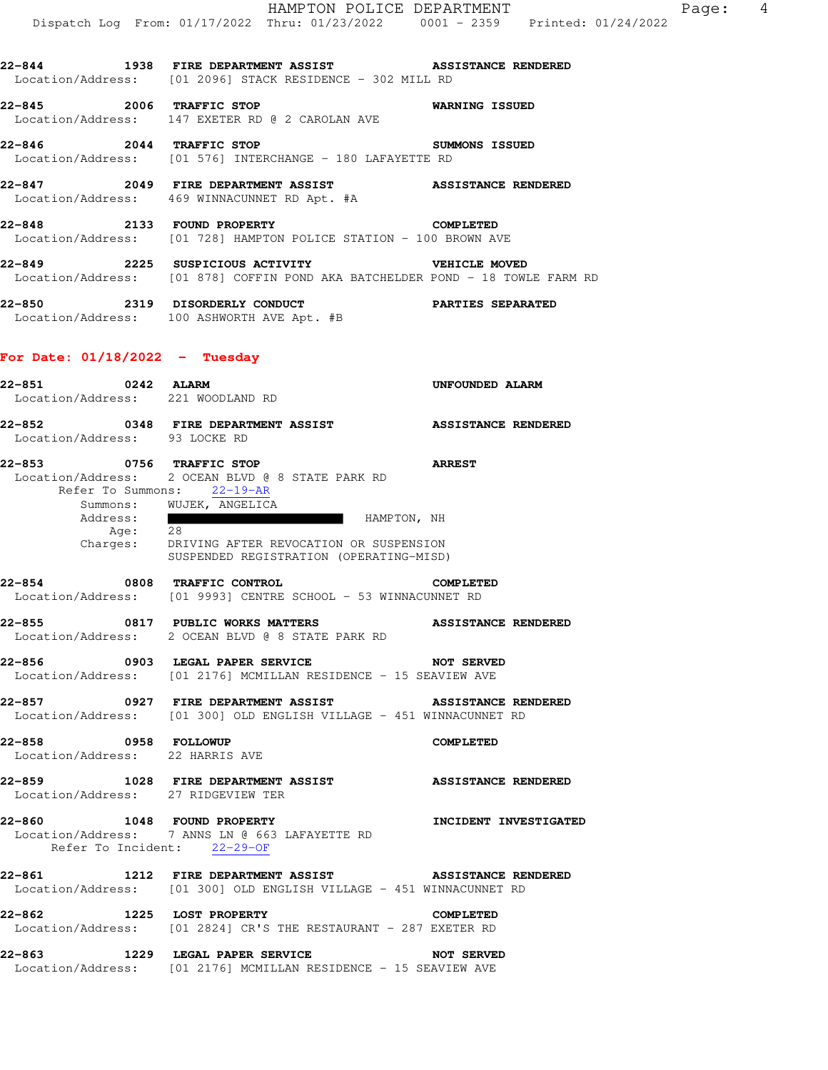**22-844 1938 FIRE DEPARTMENT ASSIST ASSISTANCE RENDERED**  Location/Address: [01 2096] STACK RESIDENCE - 302 MILL RD

**22-845 2006 TRAFFIC STOP WARNING ISSUED**  Location/Address: 147 EXETER RD @ 2 CAROLAN AVE

**22-846 2044 TRAFFIC STOP SUMMONS ISSUED**  Location/Address: [01 576] INTERCHANGE - 180 LAFAYETTE RD

**22-847 2049 FIRE DEPARTMENT ASSIST ASSISTANCE RENDERED**  Location/Address: 469 WINNACUNNET RD Apt. #A

**22-848 2133 FOUND PROPERTY COMPLETED**  Location/Address: [01 728] HAMPTON POLICE STATION - 100 BROWN AVE

**22-849 2225 SUSPICIOUS ACTIVITY VEHICLE MOVED**  Location/Address: [01 878] COFFIN POND AKA BATCHELDER POND - 18 TOWLE FARM RD

**22-850 2319 DISORDERLY CONDUCT PARTIES SEPARATED**  Location/Address: 100 ASHWORTH AVE Apt. #B

## **For Date: 01/18/2022 - Tuesday**

| 22-851 0242 ALARM               |                                                                                                                               | UNFOUNDED ALARM       |
|---------------------------------|-------------------------------------------------------------------------------------------------------------------------------|-----------------------|
|                                 | Location/Address: 221 WOODLAND RD                                                                                             |                       |
| 22-852                          | 0348 FIRE DEPARTMENT ASSIST <b>ASSISTANCE RENDERED</b>                                                                        |                       |
| Location/Address: 93 LOCKE RD   |                                                                                                                               |                       |
| 22-853 0756 TRAFFIC STOP        | Location/Address: 2 OCEAN BLVD @ 8 STATE PARK RD<br>Refer To Summons: 22-19-AR<br>Summons: WUJEK, ANGELICA                    | <b>ARREST</b>         |
|                                 | Address: HAMPTON, NH<br>Age: 28<br>Charges: DRIVING AFTER REVOCATION OR SUSPENSION<br>SUSPENDED REGISTRATION (OPERATING-MISD) |                       |
|                                 | 22-854 0808 TRAFFIC CONTROL<br>Location/Address: [01 9993] CENTRE SCHOOL - 53 WINNACUNNET RD                                  | <b>COMPLETED</b>      |
|                                 | 22-855 0817 PUBLIC WORKS MATTERS ASSISTANCE RENDERED<br>Location/Address: 2 OCEAN BLVD @ 8 STATE PARK RD                      |                       |
|                                 | 22-856 6903 LEGAL PAPER SERVICE NOT SERVED<br>Location/Address: [01 2176] MCMILLAN RESIDENCE - 15 SEAVIEW AVE                 |                       |
|                                 | 22-857 6927 FIRE DEPARTMENT ASSIST ASSISTANCE RENDERED<br>Location/Address: [01 300] OLD ENGLISH VILLAGE - 451 WINNACUNNET RD |                       |
| Location/Address: 22 HARRIS AVE | 22-858 0958 FOLLOWUP                                                                                                          | <b>COMPLETED</b>      |
|                                 | 22-859 1028 FIRE DEPARTMENT ASSIST ASSISTANCE RENDERED<br>Location/Address: 27 RIDGEVIEW TER                                  |                       |
|                                 | 22-860 1048 FOUND PROPERTY<br>Location/Address: 7 ANNS LN @ 663 LAFAYETTE RD<br>Refer To Incident: 22-29-OF                   | INCIDENT INVESTIGATED |
|                                 | 22-861 1212 FIRE DEPARTMENT ASSIST ASSISTANCE RENDERED<br>Location/Address: [01 300] OLD ENGLISH VILLAGE - 451 WINNACUNNET RD |                       |
| 22-862                          | 1225 LOST PROPERTY<br>Location/Address: [01 2824] CR'S THE RESTAURANT - 287 EXETER RD                                         | <b>COMPLETED</b>      |
|                                 | 22-863 1229 LEGAL PAPER SERVICE NOT SERVED<br>Location/Address: [01 2176] MCMILLAN RESIDENCE - 15 SEAVIEW AVE                 |                       |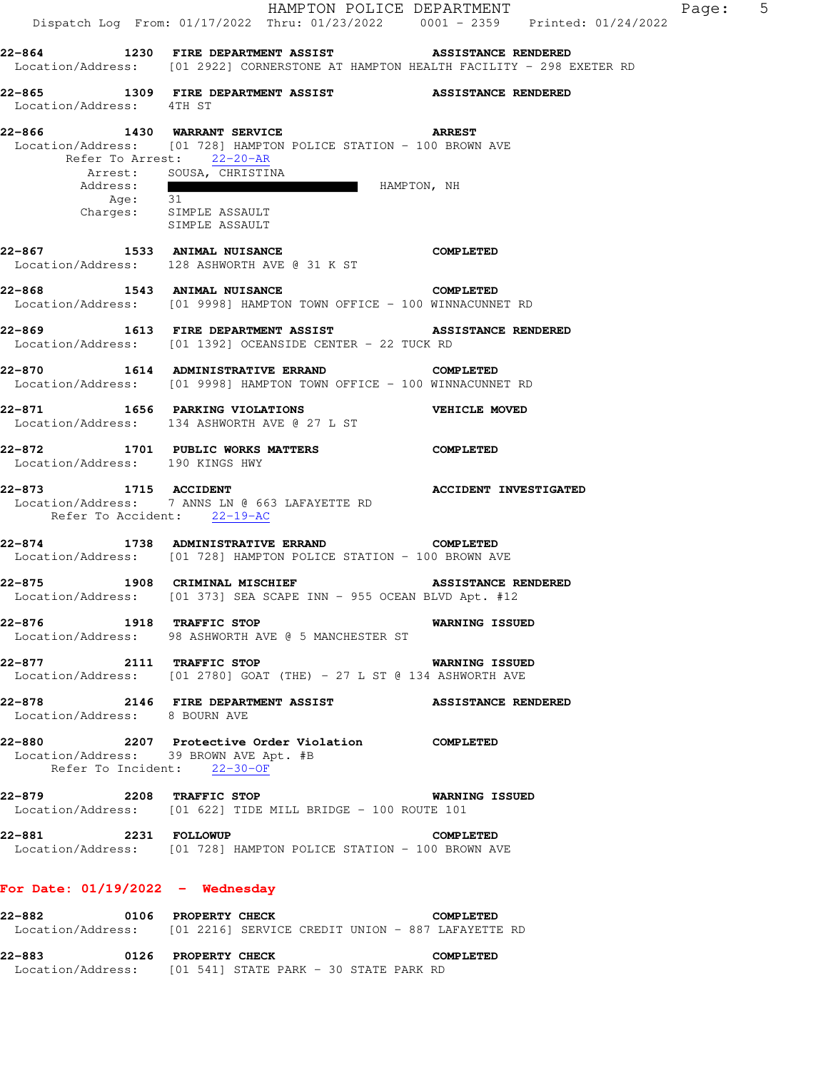|                                                                       | Dispatch Log From: 01/17/2022 Thru: 01/23/2022 0001 - 2359 Printed: 01/24/2022                                                                                                                                                                                                                                                                                                                                                                                | HAMPTON POLICE DEPARTMENT    | Page: 5 |  |
|-----------------------------------------------------------------------|---------------------------------------------------------------------------------------------------------------------------------------------------------------------------------------------------------------------------------------------------------------------------------------------------------------------------------------------------------------------------------------------------------------------------------------------------------------|------------------------------|---------|--|
|                                                                       | 22-864 1230 FIRE DEPARTMENT ASSIST ASSISTANCE RENDERED<br>Location/Address: [01 2922] CORNERSTONE AT HAMPTON HEALTH FACILITY - 298 EXETER RD                                                                                                                                                                                                                                                                                                                  |                              |         |  |
| Location/Address: 4TH ST                                              | 22-865 1309 FIRE DEPARTMENT ASSIST ASSISTANCE RENDERED                                                                                                                                                                                                                                                                                                                                                                                                        |                              |         |  |
| 22-866<br>Address:<br>Age: 31                                         | 1430 WARRANT SERVICE ARREST<br>Location/Address: [01 728] HAMPTON POLICE STATION - 100 BROWN AVE<br>Refer To Arrest: 22-20-AR<br>Arrest: SOUSA, CHRISTINA<br><u> The Communication of the Communication of the Communication of the Communication of the Communication of the Communication of the Communication of the Communication of the Communication of the Communication of the Commun</u><br>HAMPTON, NH<br>Charges: SIMPLE ASSAULT<br>SIMPLE ASSAULT |                              |         |  |
|                                                                       | 22-867 1533 ANIMAL NUISANCE<br>Location/Address: 128 ASHWORTH AVE @ 31 K ST                                                                                                                                                                                                                                                                                                                                                                                   | <b>COMPLETED</b>             |         |  |
|                                                                       | Location/Address: [01 9998] HAMPTON TOWN OFFICE - 100 WINNACUNNET RD                                                                                                                                                                                                                                                                                                                                                                                          |                              |         |  |
|                                                                       | 22-869 1613 FIRE DEPARTMENT ASSIST ASSISTANCE RENDERED<br>Location/Address: [01 1392] OCEANSIDE CENTER - 22 TUCK RD                                                                                                                                                                                                                                                                                                                                           |                              |         |  |
|                                                                       | 22-870 1614 ADMINISTRATIVE ERRAND COMPLETED<br>Location/Address: [01 9998] HAMPTON TOWN OFFICE - 100 WINNACUNNET RD                                                                                                                                                                                                                                                                                                                                           |                              |         |  |
|                                                                       | 22-871 1656 PARKING VIOLATIONS WEHICLE MOVED<br>Location/Address: 134 ASHWORTH AVE @ 27 L ST                                                                                                                                                                                                                                                                                                                                                                  |                              |         |  |
| 22-872<br>Location/Address: 190 KINGS HWY                             | 1701 PUBLIC WORKS MATTERS COMPLETED                                                                                                                                                                                                                                                                                                                                                                                                                           |                              |         |  |
| 22-873 1715 ACCIDENT<br>Refer To Accident: 22-19-AC                   | Location/Address: 7 ANNS LN @ 663 LAFAYETTE RD                                                                                                                                                                                                                                                                                                                                                                                                                | <b>ACCIDENT INVESTIGATED</b> |         |  |
|                                                                       | 22-874 1738 ADMINISTRATIVE ERRAND<br>Location/Address: [01 728] HAMPTON POLICE STATION - 100 BROWN AVE                                                                                                                                                                                                                                                                                                                                                        | <b>COMPLETED</b>             |         |  |
|                                                                       | 22-875 1908 CRIMINAL MISCHIEF<br>Location/Address: [01 373] SEA SCAPE INN - 955 OCEAN BLVD Apt. #12                                                                                                                                                                                                                                                                                                                                                           | <b>ASSISTANCE RENDERED</b>   |         |  |
| 22-876 1918 TRAFFIC STOP                                              | Location/Address: 98 ASHWORTH AVE @ 5 MANCHESTER ST                                                                                                                                                                                                                                                                                                                                                                                                           | <b>WARNING ISSUED</b>        |         |  |
|                                                                       | 22-877 2111 TRAFFIC STOP<br>Location/Address: [01 2780] GOAT (THE) - 27 L ST @ 134 ASHWORTH AVE                                                                                                                                                                                                                                                                                                                                                               | <b>WARNING ISSUED</b>        |         |  |
| Location/Address: 8 BOURN AVE                                         | 22-878 2146 FIRE DEPARTMENT ASSIST ASSISTANCE RENDERED                                                                                                                                                                                                                                                                                                                                                                                                        |                              |         |  |
| Location/Address: 39 BROWN AVE Apt. #B<br>Refer To Incident: 22-30-OF | 22-880 2207 Protective Order Violation COMPLETED                                                                                                                                                                                                                                                                                                                                                                                                              |                              |         |  |
| 22-879 2208 TRAFFIC STOP                                              | Location/Address: [01 622] TIDE MILL BRIDGE - 100 ROUTE 101                                                                                                                                                                                                                                                                                                                                                                                                   | <b>WARNING ISSUED</b>        |         |  |
| 22-881 2231 FOLLOWUP                                                  | Location/Address: [01 728] HAMPTON POLICE STATION - 100 BROWN AVE                                                                                                                                                                                                                                                                                                                                                                                             | <b>COMPLETED</b>             |         |  |
| For Date: $01/19/2022 -$ Wednesday                                    |                                                                                                                                                                                                                                                                                                                                                                                                                                                               |                              |         |  |
|                                                                       | 22-882 0106 PROPERTY CHECK<br>Location/Address: [01 2216] SERVICE CREDIT UNION - 887 LAFAYETTE RD                                                                                                                                                                                                                                                                                                                                                             | <b>COMPLETED</b>             |         |  |

**22-883 0126 PROPERTY CHECK COMPLETED**  Location/Address: [01 541] STATE PARK - 30 STATE PARK RD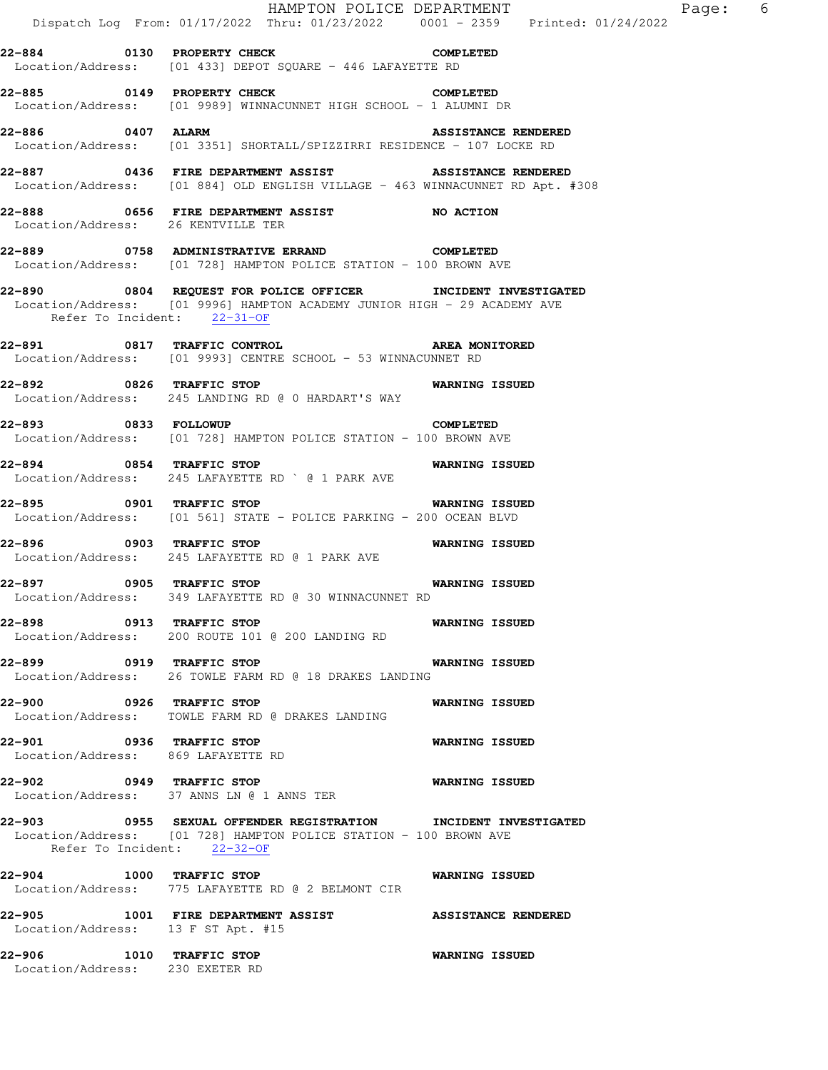|                                                                | Dispatch Log From: 01/17/2022 Thru: 01/23/2022 0001 - 2359 Printed: 01/24/2022                                                           | HAMPTON POLICE DEPARTMENT  | Page: 6 |  |
|----------------------------------------------------------------|------------------------------------------------------------------------------------------------------------------------------------------|----------------------------|---------|--|
|                                                                | 22-884 0130 PROPERTY CHECK COMPLETED<br>Location/Address: [01 433] DEPOT SQUARE - 446 LAFAYETTE RD                                       |                            |         |  |
|                                                                | 22-885 0149 PROPERTY CHECK<br>Location/Address: [01 9989] WINNACUNNET HIGH SCHOOL - 1 ALUMNI DR                                          | <b>COMPLETED</b>           |         |  |
| 22-886 0407 ALARM                                              | Location/Address: [01 3351] SHORTALL/SPIZZIRRI RESIDENCE - 107 LOCKE RD                                                                  | <b>ASSISTANCE RENDERED</b> |         |  |
|                                                                | 22-887 6436 FIRE DEPARTMENT ASSIST ASSISTANCE RENDERED<br>Location/Address: [01 884] OLD ENGLISH VILLAGE - 463 WINNACUNNET RD Apt. #308  |                            |         |  |
| Location/Address: 26 KENTVILLE TER                             | 22-888 6656 FIRE DEPARTMENT ASSIST NO ACTION                                                                                             |                            |         |  |
|                                                                | 22-889 0758 ADMINISTRATIVE ERRAND<br>Location/Address: [01 728] HAMPTON POLICE STATION - 100 BROWN AVE                                   | COMPLETED                  |         |  |
| Refer To Incident: 22-31-OF                                    | 22-890 6804 REQUEST FOR POLICE OFFICER INCIDENT INVESTIGATED<br>Location/Address: [01 9996] HAMPTON ACADEMY JUNIOR HIGH - 29 ACADEMY AVE |                            |         |  |
|                                                                | 22-891 0817 TRAFFIC CONTROL 22-891 AREA MONITORED<br>Location/Address: [01 9993] CENTRE SCHOOL - 53 WINNACUNNET RD                       |                            |         |  |
| 22-892 0826 TRAFFIC STOP                                       | Location/Address: 245 LANDING RD @ 0 HARDART'S WAY                                                                                       | <b>WARNING ISSUED</b>      |         |  |
| 22-893 0833 FOLLOWUP                                           | <b>COMPLETED</b><br>Location/Address: [01 728] HAMPTON POLICE STATION - 100 BROWN AVE                                                    |                            |         |  |
| 22-894 0854 TRAFFIC STOP                                       | Location/Address: 245 LAFAYETTE RD ` @ 1 PARK AVE                                                                                        | <b>WARNING ISSUED</b>      |         |  |
|                                                                | 22-895 		 0901 TRAFFIC STOP 		 WARNING ISSUED<br>Location/Address: [01 561] STATE - POLICE PARKING - 200 OCEAN BLVD                      |                            |         |  |
| 22-896 0903 TRAFFIC STOP                                       | Location/Address: 245 LAFAYETTE RD @ 1 PARK AVE                                                                                          | <b>WARNING ISSUED</b>      |         |  |
|                                                                | 22-897 0905 TRAFFIC STOP 1999 1999 WARNING ISSUED<br>Location/Address: 349 LAFAYETTE RD @ 30 WINNACUNNET RD                              |                            |         |  |
| 22-898 0913 TRAFFIC STOP                                       | Location/Address: 200 ROUTE 101 @ 200 LANDING RD                                                                                         | <b>WARNING ISSUED</b>      |         |  |
|                                                                | 22-899 0919 TRAFFIC STOP<br>Location/Address: 26 TOWLE FARM RD @ 18 DRAKES LANDING                                                       | <b>WARNING ISSUED</b>      |         |  |
| 22-900 0926 TRAFFIC STOP                                       | Location/Address: TOWLE FARM RD @ DRAKES LANDING                                                                                         | <b>WARNING ISSUED</b>      |         |  |
| 22-901 0936 TRAFFIC STOP<br>Location/Address: 869 LAFAYETTE RD |                                                                                                                                          | <b>WARNING ISSUED</b>      |         |  |
| 22-902 0949 TRAFFIC STOP                                       | Location/Address: 37 ANNS LN @ 1 ANNS TER                                                                                                | <b>WARNING ISSUED</b>      |         |  |
| Refer To Incident: 22-32-OF                                    | 22-903 6955 SEXUAL OFFENDER REGISTRATION INCIDENT INVESTIGATED<br>Location/Address: [01 728] HAMPTON POLICE STATION - 100 BROWN AVE      |                            |         |  |
| 22-904 1000 TRAFFIC STOP                                       | Location/Address: 775 LAFAYETTE RD @ 2 BELMONT CIR                                                                                       | <b>WARNING ISSUED</b>      |         |  |
| Location/Address: 13 F ST Apt. #15                             | 22-905 1001 FIRE DEPARTMENT ASSIST                                                                                                       | <b>ASSISTANCE RENDERED</b> |         |  |
| 22-906 1010 TRAFFIC STOP<br>Location/Address: 230 EXETER RD    |                                                                                                                                          | <b>WARNING ISSUED</b>      |         |  |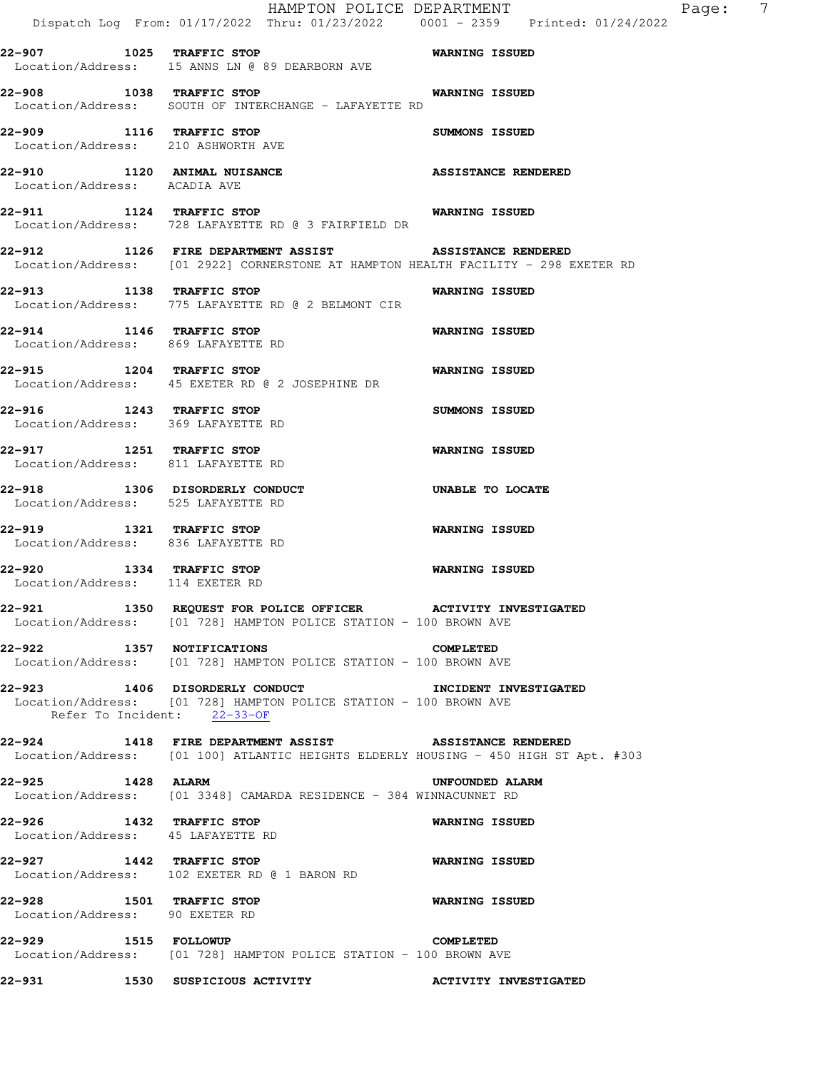|                                                                                                                                               | Dispatch Log From: 01/17/2022 Thru: 01/23/2022 0001 - 2359 Printed: 01/24/2022 |  | HAMPTON POLICE DEPARTMENT  |  | Page: | $\overline{7}$ |
|-----------------------------------------------------------------------------------------------------------------------------------------------|--------------------------------------------------------------------------------|--|----------------------------|--|-------|----------------|
| 22-907 1025 TRAFFIC STOP 6 6 WARNING ISSUED                                                                                                   |                                                                                |  |                            |  |       |                |
| Location/Address: 15 ANNS LN @ 89 DEARBORN AVE                                                                                                |                                                                                |  |                            |  |       |                |
| 22-908 1038 TRAFFIC STOP<br>Location/Address: SOUTH OF INTERCHANGE - LAFAYETTE RD                                                             |                                                                                |  | <b>WARNING ISSUED</b>      |  |       |                |
| 22-909 1116 TRAFFIC STOP<br>Location/Address: 210 ASHWORTH AVE                                                                                |                                                                                |  | <b>SUMMONS ISSUED</b>      |  |       |                |
| 22-910 1120 ANIMAL NUISANCE<br>Location/Address: ACADIA AVE                                                                                   |                                                                                |  | <b>ASSISTANCE RENDERED</b> |  |       |                |
| 22-911 1124 TRAFFIC STOP<br>Location/Address: 728 LAFAYETTE RD @ 3 FAIRFIELD DR                                                               |                                                                                |  | <b>WARNING ISSUED</b>      |  |       |                |
| 22-912 1126 FIRE DEPARTMENT ASSIST ASSISTANCE RENDERED<br>Location/Address: [01 2922] CORNERSTONE AT HAMPTON HEALTH FACILITY - 298 EXETER RD  |                                                                                |  |                            |  |       |                |
| 22-913 1138 TRAFFIC STOP<br>Location/Address: 775 LAFAYETTE RD @ 2 BELMONT CIR                                                                |                                                                                |  | <b>WARNING ISSUED</b>      |  |       |                |
| 22-914 1146 TRAFFIC STOP<br>Location/Address: 869 LAFAYETTE RD                                                                                |                                                                                |  | <b>WARNING ISSUED</b>      |  |       |                |
| 22-915 1204 TRAFFIC STOP<br>Location/Address: 45 EXETER RD @ 2 JOSEPHINE DR                                                                   |                                                                                |  | <b>WARNING ISSUED</b>      |  |       |                |
| 22-916 1243 TRAFFIC STOP<br>Location/Address: 369 LAFAYETTE RD                                                                                |                                                                                |  | SUMMONS ISSUED             |  |       |                |
| 22-917 1251 TRAFFIC STOP<br>Location/Address: 811 LAFAYETTE RD                                                                                |                                                                                |  | <b>WARNING ISSUED</b>      |  |       |                |
| 22-918 1306 DISORDERLY CONDUCT<br>Location/Address: 525 LAFAYETTE RD                                                                          |                                                                                |  | UNABLE TO LOCATE           |  |       |                |
| 22-919 1321 TRAFFIC STOP<br>Location/Address: 836 LAFAYETTE RD                                                                                |                                                                                |  | WARNING ISSUED             |  |       |                |
| 22-920 1334 TRAFFIC STOP<br>Location/Address: 114 EXETER RD                                                                                   |                                                                                |  | <b>WARNING ISSUED</b>      |  |       |                |
| 22-921<br>Location/Address: [01 728] HAMPTON POLICE STATION - 100 BROWN AVE                                                                   | 1350 REQUEST FOR POLICE OFFICER ACTIVITY INVESTIGATED                          |  |                            |  |       |                |
| 22-922 1357 NOTIFICATIONS<br>Location/Address: [01 728] HAMPTON POLICE STATION - 100 BROWN AVE                                                |                                                                                |  | <b>COMPLETED</b>           |  |       |                |
| 22-923 1406 DISORDERLY CONDUCT<br>Location/Address: [01 728] HAMPTON POLICE STATION - 100 BROWN AVE                                           | Refer To Incident: 22-33-OF                                                    |  | INCIDENT INVESTIGATED      |  |       |                |
| 22-924 1418 FIRE DEPARTMENT ASSIST ASSISTANCE RENDERED<br>Location/Address: [01 100] ATLANTIC HEIGHTS ELDERLY HOUSING - 450 HIGH ST Apt. #303 |                                                                                |  |                            |  |       |                |
| 22-925 1428 ALARM<br>Location/Address: [01 3348] CAMARDA RESIDENCE - 384 WINNACUNNET RD                                                       |                                                                                |  | UNFOUNDED ALARM            |  |       |                |
| 22-926 1432 TRAFFIC STOP<br>Location/Address: 45 LAFAYETTE RD                                                                                 |                                                                                |  | <b>WARNING ISSUED</b>      |  |       |                |
| 22-927 1442 TRAFFIC STOP<br>Location/Address: 102 EXETER RD @ 1 BARON RD                                                                      |                                                                                |  | <b>WARNING ISSUED</b>      |  |       |                |
| 22-928 1501 TRAFFIC STOP<br>Location/Address: 90 EXETER RD                                                                                    |                                                                                |  | <b>WARNING ISSUED</b>      |  |       |                |
| 22-929 1515 FOLLOWUP<br>Location/Address: [01 728] HAMPTON POLICE STATION - 100 BROWN AVE                                                     |                                                                                |  | <b>COMPLETED</b>           |  |       |                |
| 22-931                                                                                                                                        |                                                                                |  |                            |  |       |                |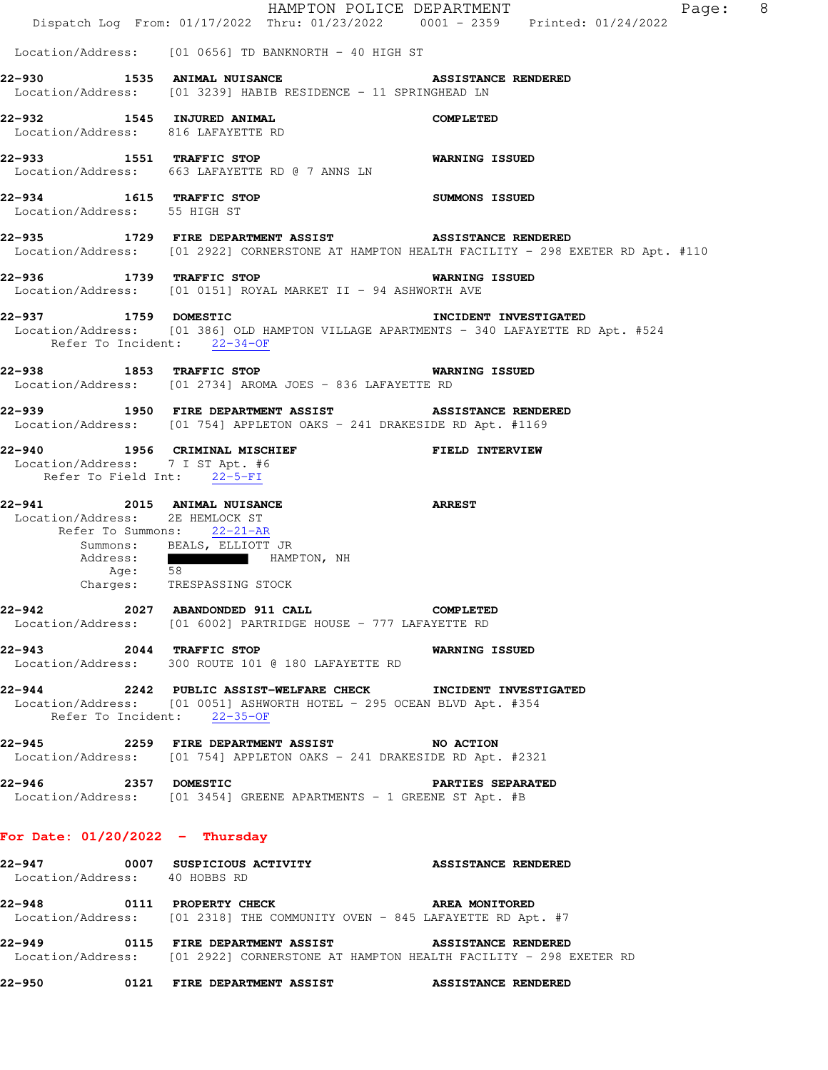|                                                                                                                                                        |                     | Dispatch Log From: 01/17/2022 Thru: 01/23/2022 0001 - 2359 Printed: 01/24/2022                                                           |  | HAMPTON POLICE DEPARTMENT  |  | Page: 8 |  |
|--------------------------------------------------------------------------------------------------------------------------------------------------------|---------------------|------------------------------------------------------------------------------------------------------------------------------------------|--|----------------------------|--|---------|--|
|                                                                                                                                                        |                     | $Location/Address:$ [01 0656] TD BANKNORTH - 40 HIGH ST                                                                                  |  |                            |  |         |  |
| 22-930<br>Location/Address: [01 3239] HABIB RESIDENCE - 11 SPRINGHEAD LN                                                                               |                     | 1535 ANIMAL NUISANCE                                                                                                                     |  | <b>ASSISTANCE RENDERED</b> |  |         |  |
| 22-932 1545 INJURED ANIMAL<br>Location/Address: 816 LAFAYETTE RD                                                                                       |                     |                                                                                                                                          |  | <b>COMPLETED</b>           |  |         |  |
| 22-933 1551 TRAFFIC STOP<br>Location/Address: 663 LAFAYETTE RD @ 7 ANNS LN                                                                             |                     |                                                                                                                                          |  | <b>WARNING ISSUED</b>      |  |         |  |
| 22-934 1615 TRAFFIC STOP<br>Location/Address: 55 HIGH ST                                                                                               |                     |                                                                                                                                          |  | <b>SUMMONS ISSUED</b>      |  |         |  |
| 22-935 1729 FIRE DEPARTMENT ASSIST ASSISTANCE RENDERED<br>Location/Address: [01 2922] CORNERSTONE AT HAMPTON HEALTH FACILITY - 298 EXETER RD Apt. #110 |                     |                                                                                                                                          |  |                            |  |         |  |
| 22-936 1739 TRAFFIC STOP<br>Location/Address: [01 0151] ROYAL MARKET II - 94 ASHWORTH AVE                                                              |                     |                                                                                                                                          |  | <b>WARNING ISSUED</b>      |  |         |  |
| 22-937 1759 DOMESTIC<br>Location/Address: [01 386] OLD HAMPTON VILLAGE APARTMENTS - 340 LAFAYETTE RD Apt. #524                                         |                     | Refer To Incident: 22-34-OF                                                                                                              |  | INCIDENT INVESTIGATED      |  |         |  |
| 22-938 1853 TRAFFIC STOP<br>Location/Address: [01 2734] AROMA JOES - 836 LAFAYETTE RD                                                                  |                     |                                                                                                                                          |  | <b>WARNING ISSUED</b>      |  |         |  |
| 22-939 1950 FIRE DEPARTMENT ASSIST<br>Location/Address: [01 754] APPLETON OAKS - 241 DRAKESIDE RD Apt. #1169                                           |                     |                                                                                                                                          |  | <b>ASSISTANCE RENDERED</b> |  |         |  |
| 22-940<br>Location/Address: 7 I ST Apt. #6                                                                                                             |                     | 1956 CRIMINAL MISCHIEF THE PIELD INTERVIEW<br>Refer To Field Int: 22-5-FI                                                                |  |                            |  |         |  |
| 22-941 2015 ANIMAL NUISANCE                                                                                                                            | Address:<br>Age: 58 | Location/Address: 2E HEMLOCK ST<br>Refer To Summons: 22-21-AR<br>Summons: BEALS, ELLIOTT JR<br>HAMPTON, NH<br>Charges: TRESPASSING STOCK |  | <b>ARREST</b>              |  |         |  |
|                                                                                                                                                        |                     | Location/Address: [01 6002] PARTRIDGE HOUSE - 777 LAFAYETTE RD                                                                           |  |                            |  |         |  |
| 22-943 2044 TRAFFIC STOP<br>Location/Address: 300 ROUTE 101 @ 180 LAFAYETTE RD                                                                         |                     |                                                                                                                                          |  | WARNING ISSUED             |  |         |  |
| 22-944 2242 PUBLIC ASSIST-WELFARE CHECK INCIDENT INVESTIGATED<br>Location/Address: [01 0051] ASHWORTH HOTEL - 295 OCEAN BLVD Apt. #354                 |                     | Refer To Incident: 22-35-OF                                                                                                              |  |                            |  |         |  |
| Location/Address: [01 754] APPLETON OAKS - 241 DRAKESIDE RD Apt. #2321                                                                                 |                     |                                                                                                                                          |  |                            |  |         |  |
| 22-946 2357 DOMESTIC<br>Location/Address: [01 3454] GREENE APARTMENTS - 1 GREENE ST Apt. #B                                                            |                     |                                                                                                                                          |  | PARTIES SEPARATED          |  |         |  |
| For Date: $01/20/2022 - Thursday$                                                                                                                      |                     |                                                                                                                                          |  |                            |  |         |  |
| 22-947<br>Location/Address: 40 HOBBS RD                                                                                                                |                     | 0007 SUSPICIOUS ACTIVITY THE ASSISTANCE RENDERED                                                                                         |  |                            |  |         |  |
| 22-948 0111 PROPERTY CHECK AREA MONITORED<br>Location/Address: [01 2318] THE COMMUNITY OVEN - 845 LAFAYETTE RD Apt. #7                                 |                     |                                                                                                                                          |  |                            |  |         |  |
| 22-949<br>Location/Address: [01 2922] CORNERSTONE AT HAMPTON HEALTH FACILITY - 298 EXETER RD                                                           |                     | 0115 FIRE DEPARTMENT ASSIST                                                                                                              |  | <b>ASSISTANCE RENDERED</b> |  |         |  |
| 22–950                                                                                                                                                 |                     | 0121 FIRE DEPARTMENT ASSIST ASSISTANCE RENDERED                                                                                          |  |                            |  |         |  |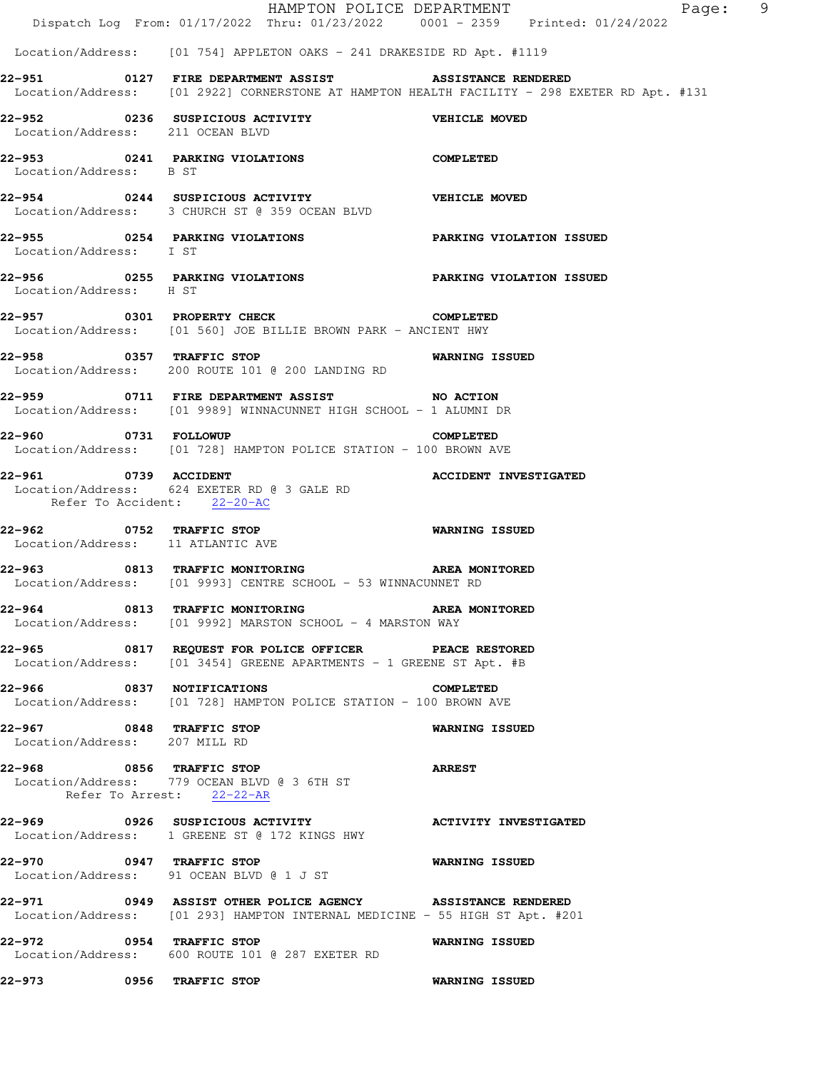|                                                           | HAMPTON POLICE DEPARTMENT<br>Dispatch Log From: 01/17/2022 Thru: 01/23/2022 0001 - 2359 Printed: 01/24/2022                               |                              | Page: 9 |  |
|-----------------------------------------------------------|-------------------------------------------------------------------------------------------------------------------------------------------|------------------------------|---------|--|
|                                                           | Location/Address: [01 754] APPLETON OAKS - 241 DRAKESIDE RD Apt. #1119                                                                    |                              |         |  |
|                                                           | 22-951 0127 FIRE DEPARTMENT ASSIST<br>Location/Address: [01 2922] CORNERSTONE AT HAMPTON HEALTH FACILITY - 298 EXETER RD Apt. #131        | <b>ASSISTANCE RENDERED</b>   |         |  |
| Location/Address: 211 OCEAN BLVD                          | 22-952 0236 SUSPICIOUS ACTIVITY                                                                                                           | <b>VEHICLE MOVED</b>         |         |  |
| Location/Address: B ST                                    | 22-953 0241 PARKING VIOLATIONS                                                                                                            | <b>COMPLETED</b>             |         |  |
|                                                           | 22-954 0244 SUSPICIOUS ACTIVITY WEHICLE MOVED<br>Location/Address: 3 CHURCH ST @ 359 OCEAN BLVD                                           |                              |         |  |
| Location/Address: I ST                                    | 22-955 0254 PARKING VIOLATIONS PARKING VIOLATION ISSUED                                                                                   |                              |         |  |
| Location/Address: H ST                                    | 22-956 60255 PARKING VIOLATIONS PARKING VIOLATION ISSUED                                                                                  |                              |         |  |
| 22-957 0301 PROPERTY CHECK                                | Location/Address: [01 560] JOE BILLIE BROWN PARK - ANCIENT HWY                                                                            | <b>COMPLETED</b>             |         |  |
|                                                           | 22-958 0357 TRAFFIC STOP 6 6 WARNING ISSUED<br>Location/Address: 200 ROUTE 101 @ 200 LANDING RD                                           |                              |         |  |
|                                                           | 22-959 0711 FIRE DEPARTMENT ASSIST NO ACTION<br>Location/Address: [01 9989] WINNACUNNET HIGH SCHOOL - 1 ALUMNI DR                         |                              |         |  |
|                                                           | 22-960 0731 FOLLOWUP<br>Location/Address: [01 728] HAMPTON POLICE STATION - 100 BROWN AVE                                                 | <b>COMPLETED</b>             |         |  |
| 22-961 0739 ACCIDENT                                      | Location/Address: 624 EXETER RD @ 3 GALE RD<br>Refer To Accident: 22-20-AC                                                                | <b>ACCIDENT INVESTIGATED</b> |         |  |
| Location/Address: 11 ATLANTIC AVE                         | 22-962 0752 TRAFFIC STOP                                                                                                                  | <b>WARNING ISSUED</b>        |         |  |
|                                                           | 22-963 6813 TRAFFIC MONITORING CONDUCT AREA MONITORED<br>Location/Address: [01 9993] CENTRE SCHOOL - 53 WINNACUNNET RD                    |                              |         |  |
|                                                           | 22-964 0813 TRAFFIC MONITORING AREA MONITORED<br>Location/Address: [01 9992] MARSTON SCHOOL - 4 MARSTON WAY                               |                              |         |  |
|                                                           | 22-965 6817 REQUEST FOR POLICE OFFICER PEACE RESTORED<br>Location/Address: [01 3454] GREENE APARTMENTS - 1 GREENE ST Apt. #B              |                              |         |  |
| 22-966 0837 NOTIFICATIONS                                 | Location/Address: [01 728] HAMPTON POLICE STATION - 100 BROWN AVE                                                                         | <b>COMPLETED</b>             |         |  |
| 22-967 0848 TRAFFIC STOP<br>Location/Address: 207 MILL RD |                                                                                                                                           | <b>WARNING ISSUED</b>        |         |  |
| 22-968 0856 TRAFFIC STOP                                  | Location/Address: 779 OCEAN BLVD @ 3 6TH ST<br>Refer To Arrest: 22-22-AR                                                                  | <b>ARREST</b>                |         |  |
|                                                           | 22-969 0926 SUSPICIOUS ACTIVITY<br>Location/Address: 1 GREENE ST @ 172 KINGS HWY                                                          | <b>ACTIVITY INVESTIGATED</b> |         |  |
| 22-970 0947 TRAFFIC STOP                                  | Location/Address: 91 OCEAN BLVD @ 1 J ST                                                                                                  | <b>WARNING ISSUED</b>        |         |  |
|                                                           | 22-971 0949 ASSIST OTHER POLICE AGENCY ASSISTANCE RENDERED<br>Location/Address: [01 293] HAMPTON INTERNAL MEDICINE - 55 HIGH ST Apt. #201 |                              |         |  |
| 22–972                                                    | 0954 TRAFFIC STOP<br>Location/Address: 600 ROUTE 101 @ 287 EXETER RD                                                                      | <b>WARNING ISSUED</b>        |         |  |
| 22-973 0956 TRAFFIC STOP                                  |                                                                                                                                           | <b>WARNING ISSUED</b>        |         |  |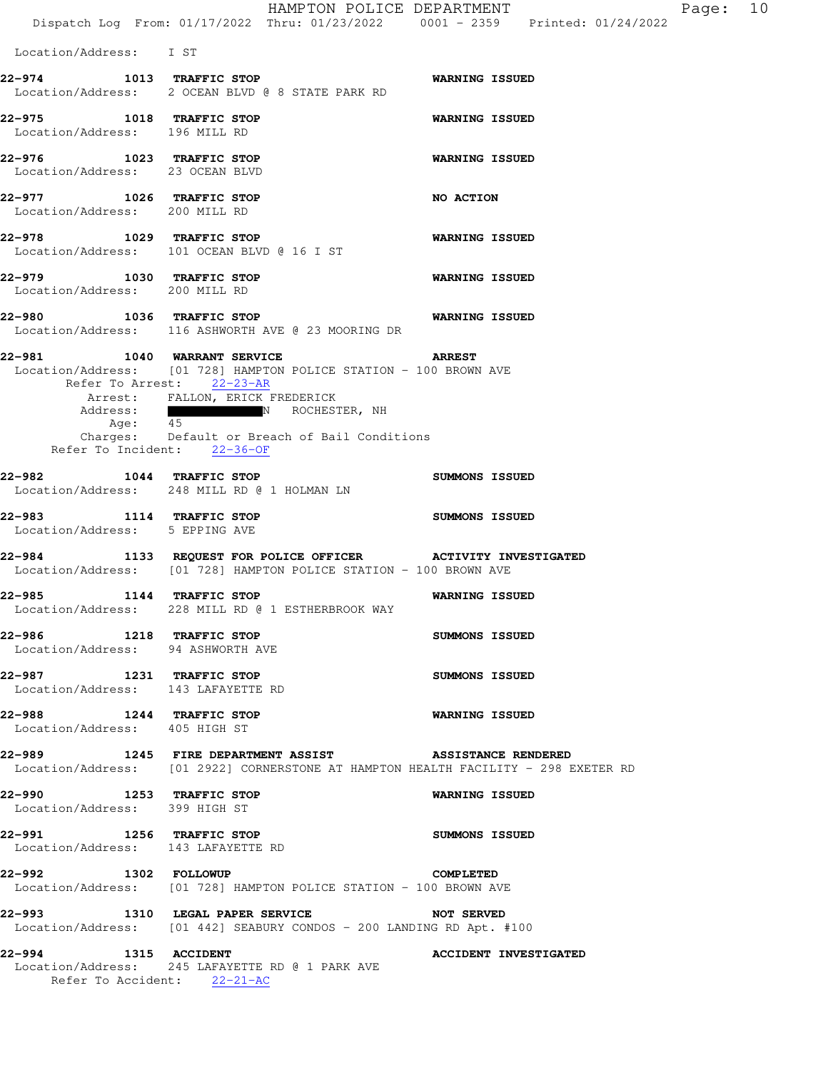|                                                                                                                                              |                                 | HAMPTON POLICE DEPARTMENT<br>Dispatch Log From: 01/17/2022 Thru: 01/23/2022 0001 - 2359 Printed: 01/24/2022 |                              |  | Page: | 10 |
|----------------------------------------------------------------------------------------------------------------------------------------------|---------------------------------|-------------------------------------------------------------------------------------------------------------|------------------------------|--|-------|----|
| Location/Address: I ST                                                                                                                       |                                 |                                                                                                             |                              |  |       |    |
| 22-974 1013 TRAFFIC STOP<br>Location/Address: 2 OCEAN BLVD @ 8 STATE PARK RD                                                                 |                                 |                                                                                                             | <b>WARNING ISSUED</b>        |  |       |    |
| 22-975 1018 TRAFFIC STOP<br>Location/Address: 196 MILL RD                                                                                    |                                 |                                                                                                             | <b>WARNING ISSUED</b>        |  |       |    |
| 1023 TRAFFIC STOP<br>22-976<br>Location/Address: 23 OCEAN BLVD                                                                               |                                 |                                                                                                             | <b>WARNING ISSUED</b>        |  |       |    |
| 22-977 1026 TRAFFIC STOP<br>Location/Address: 200 MILL RD                                                                                    |                                 |                                                                                                             | NO ACTION                    |  |       |    |
| 22-978 1029 TRAFFIC STOP<br>Location/Address: 101 OCEAN BLVD @ 16 I ST                                                                       |                                 |                                                                                                             | <b>WARNING ISSUED</b>        |  |       |    |
| 22-979 1030 TRAFFIC STOP<br>Location/Address: 200 MILL RD                                                                                    |                                 |                                                                                                             | <b>WARNING ISSUED</b>        |  |       |    |
| 22-980 1036 TRAFFIC STOP<br>Location/Address: 116 ASHWORTH AVE @ 23 MOORING DR                                                               |                                 |                                                                                                             | <b>WARNING ISSUED</b>        |  |       |    |
| 22-981 1040 WARRANT SERVICE<br>Location/Address: [01 728] HAMPTON POLICE STATION - 100 BROWN AVE<br>Refer To Arrest: 22-23-AR                |                                 |                                                                                                             | <b>ARREST</b>                |  |       |    |
| Address:<br>Age: 45<br>Refer To Incident: 22-36-OF                                                                                           | Arrest: FALLON, ERICK FREDERICK | N ROCHESTER, NH<br>Charges: Default or Breach of Bail Conditions                                            |                              |  |       |    |
| 22-982 1044 TRAFFIC STOP<br>Location/Address: 248 MILL RD @ 1 HOLMAN LN                                                                      |                                 |                                                                                                             | SUMMONS ISSUED               |  |       |    |
| 22-983 1114 TRAFFIC STOP<br>Location/Address: 5 EPPING AVE                                                                                   |                                 |                                                                                                             | SUMMONS ISSUED               |  |       |    |
| 22-984 1133 REQUEST FOR POLICE OFFICER ACTIVITY INVESTIGATED<br>Location/Address: [01 728] HAMPTON POLICE STATION - 100 BROWN AVE            |                                 |                                                                                                             |                              |  |       |    |
| 22–985<br>Location/Address: 228 MILL RD @ 1 ESTHERBROOK WAY                                                                                  | 1144 TRAFFIC STOP               |                                                                                                             | <b>WARNING ISSUED</b>        |  |       |    |
| 22-986 1218 TRAFFIC STOP<br>Location/Address: 94 ASHWORTH AVE                                                                                |                                 |                                                                                                             | SUMMONS ISSUED               |  |       |    |
| 22-987 1231 TRAFFIC STOP<br>Location/Address: 143 LAFAYETTE RD                                                                               |                                 |                                                                                                             | SUMMONS ISSUED               |  |       |    |
| 22-988 1244 TRAFFIC STOP<br>Location/Address: 405 HIGH ST                                                                                    |                                 |                                                                                                             | WARNING ISSUED               |  |       |    |
| 22-989 1245 FIRE DEPARTMENT ASSIST ASSISTANCE RENDERED<br>Location/Address: [01 2922] CORNERSTONE AT HAMPTON HEALTH FACILITY - 298 EXETER RD |                                 |                                                                                                             |                              |  |       |    |
| 22-990 1253 TRAFFIC STOP<br>Location/Address: 399 HIGH ST                                                                                    |                                 |                                                                                                             | <b>WARNING ISSUED</b>        |  |       |    |
| 22-991 1256 TRAFFIC STOP<br>Location/Address: 143 LAFAYETTE RD                                                                               |                                 |                                                                                                             | <b>SUMMONS ISSUED</b>        |  |       |    |
| 22-992 1302 FOLLOWUP<br>Location/Address: [01 728] HAMPTON POLICE STATION - 100 BROWN AVE                                                    |                                 |                                                                                                             | <b>COMPLETED</b>             |  |       |    |
| 22-993 1310 LEGAL PAPER SERVICE<br>Location/Address: [01 442] SEABURY CONDOS - 200 LANDING RD Apt. #100                                      |                                 |                                                                                                             | <b>NOT SERVED</b>            |  |       |    |
| 22-994 1315 ACCIDENT<br>Location/Address: 245 LAFAYETTE RD @ 1 PARK AVE<br>Refer To Accident: 22-21-AC                                       |                                 |                                                                                                             | <b>ACCIDENT INVESTIGATED</b> |  |       |    |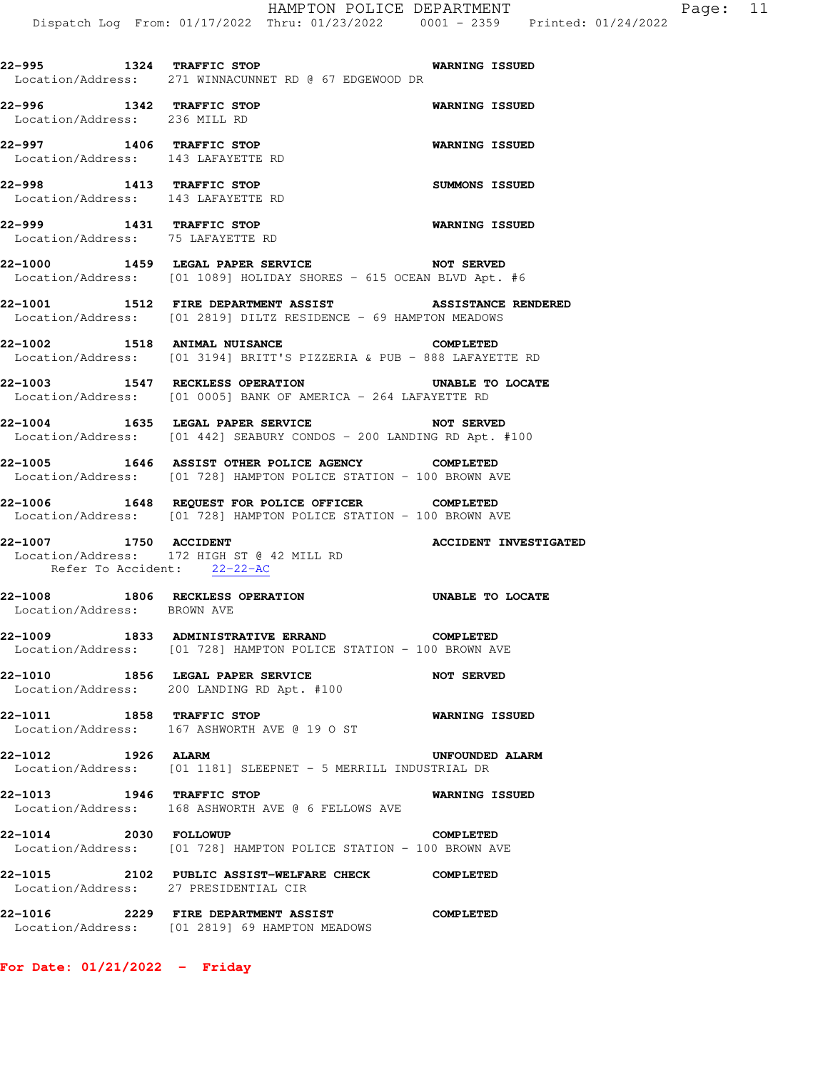**22-995 1324 TRAFFIC STOP WARNING ISSUED**  Location/Address: 271 WINNACUNNET RD @ 67 EDGEWOOD DR **22-996 1342 TRAFFIC STOP WARNING ISSUED**  Location/Address: 236 MILL RD **22-997 1406 TRAFFIC STOP WARNING ISSUED**  Location/Address: 143 LAFAYETTE RD **22-998 1413 TRAFFIC STOP SUMMONS ISSUED**  Location/Address: 143 LAFAYETTE RD **22-999 1431 TRAFFIC STOP WARNING ISSUED**  Location/Address: 75 LAFAYETTE RD **22-1000 1459 LEGAL PAPER SERVICE NOT SERVED**  Location/Address: [01 1089] HOLIDAY SHORES - 615 OCEAN BLVD Apt. #6 **22-1001 1512 FIRE DEPARTMENT ASSIST ASSISTANCE RENDERED**  Location/Address: [01 2819] DILTZ RESIDENCE - 69 HAMPTON MEADOWS **22-1002 1518 ANIMAL NUISANCE COMPLETED**  Location/Address: [01 3194] BRITT'S PIZZERIA & PUB - 888 LAFAYETTE RD **22-1003 1547 RECKLESS OPERATION UNABLE TO LOCATE**  Location/Address: [01 0005] BANK OF AMERICA - 264 LAFAYETTE RD **22-1004 1635 LEGAL PAPER SERVICE NOT SERVED**  Location/Address: [01 442] SEABURY CONDOS - 200 LANDING RD Apt. #100 **22-1005 1646 ASSIST OTHER POLICE AGENCY COMPLETED**  Location/Address: [01 728] HAMPTON POLICE STATION - 100 BROWN AVE **22-1006 1648 REQUEST FOR POLICE OFFICER COMPLETED**  Location/Address: [01 728] HAMPTON POLICE STATION - 100 BROWN AVE **22-1007 1750 ACCIDENT ACCIDENT INVESTIGATED**  Location/Address: 172 HIGH ST @ 42 MILL RD Refer To Accident: 22-22-AC **22-1008 1806 RECKLESS OPERATION UNABLE TO LOCATE**  Location/Address: BROWN AVE **22-1009 1833 ADMINISTRATIVE ERRAND COMPLETED**  Location/Address: [01 728] HAMPTON POLICE STATION - 100 BROWN AVE **22-1010 1856 LEGAL PAPER SERVICE NOT SERVED**  Location/Address: 200 LANDING RD Apt. #100 **22-1011 1858 TRAFFIC STOP WARNING ISSUED**  Location/Address: 167 ASHWORTH AVE @ 19 O ST **22-1012 1926 ALARM UNFOUNDED ALARM**  Location/Address: [01 1181] SLEEPNET - 5 MERRILL INDUSTRIAL DR **22-1013 1946 TRAFFIC STOP WARNING ISSUED**  Location/Address: 168 ASHWORTH AVE @ 6 FELLOWS AVE **22-1014 2030 FOLLOWUP COMPLETED**  Location/Address: [01 728] HAMPTON POLICE STATION - 100 BROWN AVE **22-1015 2102 PUBLIC ASSIST-WELFARE CHECK COMPLETED**  Location/Address: 27 PRESIDENTIAL CIR **22-1016 2229 FIRE DEPARTMENT ASSIST COMPLETED**  Location/Address: [01 2819] 69 HAMPTON MEADOWS

**For Date: 01/21/2022 - Friday**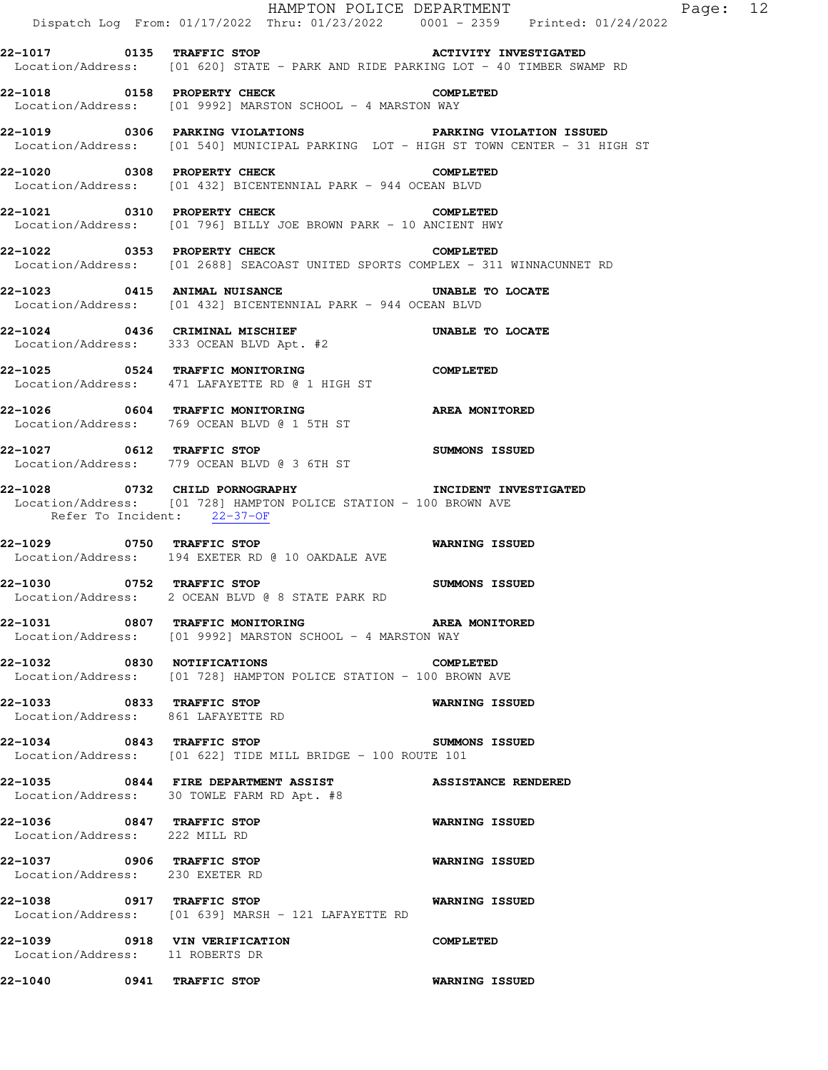|                                                                  | Dispatch Log From: 01/17/2022 Thru: 01/23/2022 0001 - 2359 Printed: 01/24/2022                                                  | HAMPTON POLICE DEPARTMENT<br>Page: 12 |
|------------------------------------------------------------------|---------------------------------------------------------------------------------------------------------------------------------|---------------------------------------|
|                                                                  | Location/Address: [01 620] STATE - PARK AND RIDE PARKING LOT - 40 TIMBER SWAMP RD                                               |                                       |
| 22-1018 0158 PROPERTY CHECK                                      | Location/Address: [01 9992] MARSTON SCHOOL - 4 MARSTON WAY                                                                      | <b>COMPLETED</b>                      |
|                                                                  | Location/Address: [01 540] MUNICIPAL PARKING LOT - HIGH ST TOWN CENTER - 31 HIGH ST                                             |                                       |
|                                                                  | 22-1020 0308 PROPERTY CHECK<br>Location/Address: [01 432] BICENTENNIAL PARK - 944 OCEAN BLVD                                    | <b>COMPLETED</b>                      |
|                                                                  | 22-1021 0310 PROPERTY CHECK<br>Location/Address: [01 796] BILLY JOE BROWN PARK - 10 ANCIENT HWY                                 | <b>COMPLETED</b>                      |
|                                                                  | 22-1022 0353 PROPERTY CHECK<br>Location/Address: [01 2688] SEACOAST UNITED SPORTS COMPLEX - 311 WINNACUNNET RD                  | <b>COMPLETED</b>                      |
|                                                                  | 22-1023 0415 ANIMAL NUISANCE UNABLE TO LOCATE<br>Location/Address: [01 432] BICENTENNIAL PARK - 944 OCEAN BLVD                  |                                       |
|                                                                  | 22-1024 0436 CRIMINAL MISCHIEF <b>120 CONSISTENT</b> UNABLE TO LOCATE<br>Location/Address: 333 OCEAN BLVD Apt. #2               |                                       |
|                                                                  | 22-1025 0524 TRAFFIC MONITORING COMPLETED<br>Location/Address: 471 LAFAYETTE RD @ 1 HIGH ST                                     |                                       |
|                                                                  | Location/Address: 769 OCEAN BLVD @ 1 5TH ST                                                                                     |                                       |
| 22-1027 0612 TRAFFIC STOP                                        | Location/Address: 779 OCEAN BLVD @ 3 6TH ST                                                                                     | <b>SUMMONS ISSUED</b>                 |
| Refer To Incident: 22-37-OF                                      | 22-1028 		 0732 CHILD PORNOGRAPHY 		 INCIDENT INVESTIGATED<br>Location/Address: [01 728] HAMPTON POLICE STATION - 100 BROWN AVE |                                       |
|                                                                  | 22-1029 0750 TRAFFIC STOP<br>Location/Address: 194 EXETER RD @ 10 OAKDALE AVE                                                   | <b>WARNING ISSUED</b>                 |
|                                                                  | 22-1030 0752 TRAFFIC STOP<br>Location/Address: 2 OCEAN BLVD @ 8 STATE PARK RD                                                   | <b>SUMMONS ISSUED</b>                 |
|                                                                  | 22-1031 0807 TRAFFIC MONITORING AREA MONITORED<br>Location/Address: [01 9992] MARSTON SCHOOL - 4 MARSTON WAY                    |                                       |
|                                                                  | 22-1032 0830 NOTIFICATIONS<br>Location/Address: [01 728] HAMPTON POLICE STATION - 100 BROWN AVE                                 | <b>COMPLETED</b>                      |
| 22-1033 0833 TRAFFIC STOP<br>Location/Address: 861 LAFAYETTE RD  |                                                                                                                                 | WARNING ISSUED                        |
|                                                                  | 22-1034 0843 TRAFFIC STOP<br>Location/Address: [01 622] TIDE MILL BRIDGE - 100 ROUTE 101                                        | SUMMONS ISSUED                        |
|                                                                  | 22-1035 0844 FIRE DEPARTMENT ASSIST<br>Location/Address: 30 TOWLE FARM RD Apt. #8                                               | <b>ASSISTANCE RENDERED</b>            |
| 22-1036 0847 TRAFFIC STOP<br>Location/Address: 222 MILL RD       |                                                                                                                                 | <b>WARNING ISSUED</b>                 |
| 22-1037 0906 TRAFFIC STOP<br>Location/Address: 230 EXETER RD     |                                                                                                                                 | <b>WARNING ISSUED</b>                 |
| 22-1038 0917 TRAFFIC STOP                                        | Location/Address: [01 639] MARSH - 121 LAFAYETTE RD                                                                             | <b>WARNING ISSUED</b>                 |
| 22-1039 0918 VIN VERIFICATION<br>Location/Address: 11 ROBERTS DR |                                                                                                                                 | <b>COMPLETED</b>                      |
| 22-1040 0941 TRAFFIC STOP                                        |                                                                                                                                 | <b>WARNING ISSUED</b>                 |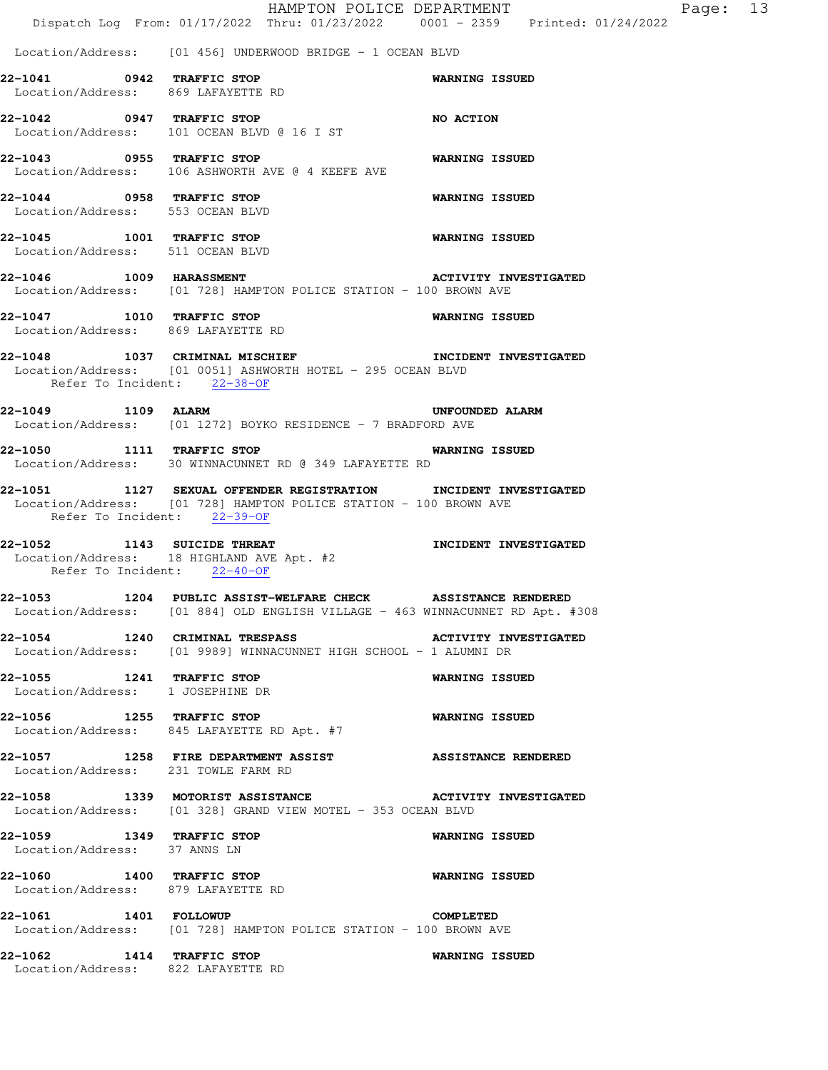|                                                                 | Dispatch Log From: 01/17/2022 Thru: 01/23/2022 0001 - 2359 Printed: 01/24/2022                                                                | HAMPTON POLICE DEPARTMENT<br>Page: 13 |
|-----------------------------------------------------------------|-----------------------------------------------------------------------------------------------------------------------------------------------|---------------------------------------|
|                                                                 | Location/Address: [01 456] UNDERWOOD BRIDGE - 1 OCEAN BLVD                                                                                    |                                       |
| 22-1041 0942 TRAFFIC STOP<br>Location/Address: 869 LAFAYETTE RD |                                                                                                                                               | <b>WARNING ISSUED</b>                 |
|                                                                 | 22-1042 0947 TRAFFIC STOP<br>Location/Address: 101 OCEAN BLVD @ 16 I ST                                                                       | NO ACTION                             |
| 22-1043 0955 TRAFFIC STOP                                       | Location/Address: 106 ASHWORTH AVE @ 4 KEEFE AVE                                                                                              | <b>WARNING ISSUED</b>                 |
| 22-1044 0958 TRAFFIC STOP<br>Location/Address: 553 OCEAN BLVD   |                                                                                                                                               | <b>WARNING ISSUED</b>                 |
| 22-1045 1001 TRAFFIC STOP<br>Location/Address: 511 OCEAN BLVD   |                                                                                                                                               | <b>WARNING ISSUED</b>                 |
| 22-1046 1009 HARASSMENT                                         | Location/Address: [01 728] HAMPTON POLICE STATION - 100 BROWN AVE                                                                             | <b>ACTIVITY INVESTIGATED</b>          |
| 22-1047 1010 TRAFFIC STOP<br>Location/Address: 869 LAFAYETTE RD |                                                                                                                                               | WARNING ISSUED                        |
| Refer To Incident: 22-38-OF                                     | 22-1048 1037 CRIMINAL MISCHIEF THE TRIDENT INVESTIGATED<br>Location/Address: [01 0051] ASHWORTH HOTEL - 295 OCEAN BLVD                        |                                       |
| 22-1049 1109 ALARM                                              | Location/Address: [01 1272] BOYKO RESIDENCE - 7 BRADFORD AVE                                                                                  | UNFOUNDED ALARM                       |
| 22-1050 1111 TRAFFIC STOP                                       | Location/Address: 30 WINNACUNNET RD @ 349 LAFAYETTE RD                                                                                        | <b>WARNING ISSUED</b>                 |
| Refer To Incident: 22-39-OF                                     | 22-1051 1127 SEXUAL OFFENDER REGISTRATION INCIDENT INVESTIGATED<br>Location/Address: [01 728] HAMPTON POLICE STATION - 100 BROWN AVE          |                                       |
| 22-1052 1143 SUICIDE THREAT<br>Refer To Incident: 22-40-OF      | Location/Address: 18 HIGHLAND AVE Apt. #2                                                                                                     | INCIDENT INVESTIGATED                 |
|                                                                 | 22-1053 1204 PUBLIC ASSIST-WELFARE CHECK ASSISTANCE RENDERED<br>Location/Address: [01 884] OLD ENGLISH VILLAGE - 463 WINNACUNNET RD Apt. #308 |                                       |
|                                                                 | 22-1054 1240 CRIMINAL TRESPASS<br>Location/Address: [01 9989] WINNACUNNET HIGH SCHOOL - 1 ALUMNI DR                                           | <b>ACTIVITY INVESTIGATED</b>          |
| 22-1055 1241 TRAFFIC STOP<br>Location/Address: 1 JOSEPHINE DR   |                                                                                                                                               | <b>WARNING ISSUED</b>                 |
|                                                                 | 22-1056 1255 TRAFFIC STOP<br>Location/Address: 845 LAFAYETTE RD Apt. #7                                                                       | <b>WARNING ISSUED</b>                 |
| Location/Address: 231 TOWLE FARM RD                             | 22-1057 1258 FIRE DEPARTMENT ASSIST ASSISTANCE RENDERED                                                                                       |                                       |
|                                                                 | 22-1058 1339 MOTORIST ASSISTANCE ACTIVITY INVESTIGATED<br>Location/Address: [01 328] GRAND VIEW MOTEL - 353 OCEAN BLVD                        |                                       |
| 22-1059 1349 TRAFFIC STOP<br>Location/Address: 37 ANNS LN       |                                                                                                                                               | <b>WARNING ISSUED</b>                 |
| 22-1060 1400 TRAFFIC STOP<br>Location/Address: 879 LAFAYETTE RD |                                                                                                                                               | <b>WARNING ISSUED</b>                 |
| 22-1061 1401 FOLLOWUP                                           | Location/Address: [01 728] HAMPTON POLICE STATION - 100 BROWN AVE                                                                             | <b>COMPLETED</b>                      |
| 22-1062 1414 TRAFFIC STOP<br>Location/Address: 822 LAFAYETTE RD |                                                                                                                                               | WARNING ISSUED                        |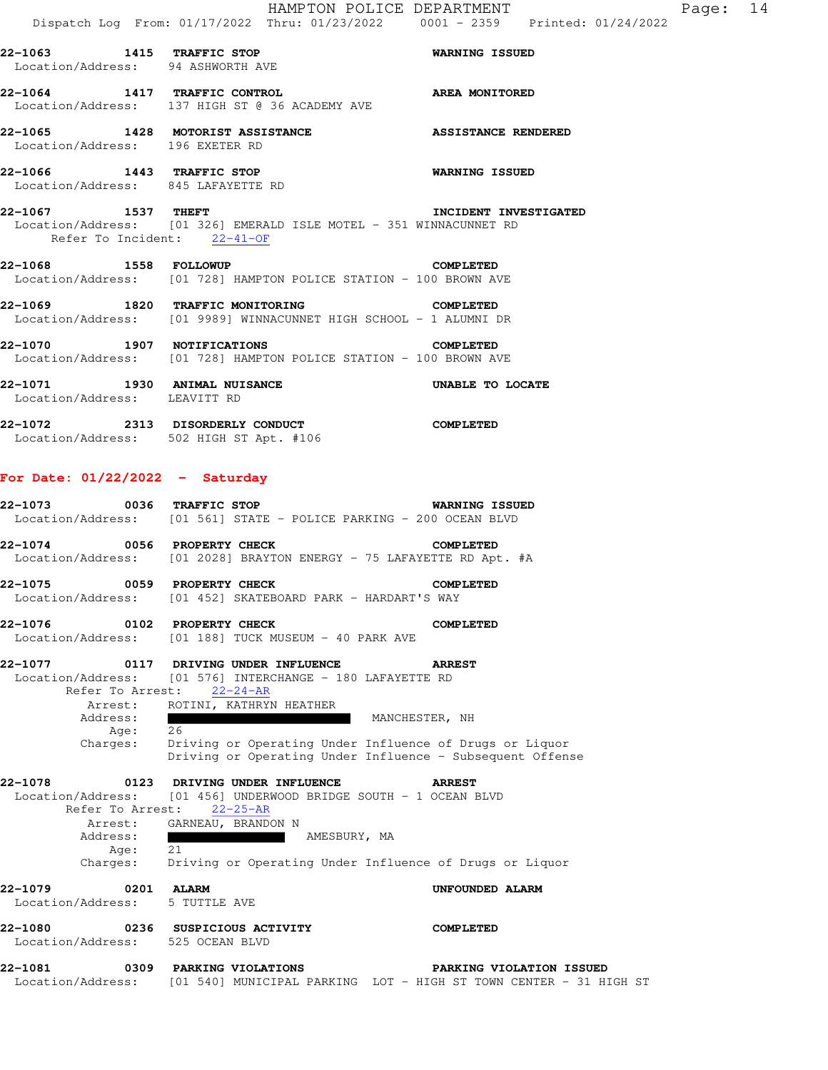HAMPTON POLICE DEPARTMENT Fage: 14 Dispatch Log From: 01/17/2022 Thru: 01/23/2022 0001 - 2359 Printed: 01/24/2022

**22-1063 1415 TRAFFIC STOP WARNING ISSUED**  Location/Address: 94 ASHWORTH AVE **22-1064 1417 TRAFFIC CONTROL AREA MONITORED**  Location/Address: 137 HIGH ST @ 36 ACADEMY AVE **22-1065 1428 MOTORIST ASSISTANCE ASSISTANCE RENDERED**  Location/Address: 196 EXETER RD **22-1066 1443 TRAFFIC STOP WARNING ISSUED**  Location/Address: 845 LAFAYETTE RD

**22-1067 1537 THEFT INCIDENT INVESTIGATED**  Location/Address: [01 326] EMERALD ISLE MOTEL - 351 WINNACUNNET RD Refer To Incident: 22-41-OF

## **22-1068 1558 FOLLOWUP COMPLETED**  Location/Address: [01 728] HAMPTON POLICE STATION - 100 BROWN AVE

**22-1069 1820 TRAFFIC MONITORING COMPLETED**  Location/Address: [01 9989] WINNACUNNET HIGH SCHOOL - 1 ALUMNI DR

**22-1070 1907 NOTIFICATIONS COMPLETED**  Location/Address: [01 728] HAMPTON POLICE STATION - 100 BROWN AVE

**22-1071 1930 ANIMAL NUISANCE UNABLE TO LOCATE**  Location/Address: LEAVITT RD

**22-1072 2313 DISORDERLY CONDUCT COMPLETED**  Location/Address: 502 HIGH ST Apt. #106

## **For Date: 01/22/2022 - Saturday**

|          | 22-1073 0036 TRAFFIC STOP                                            | WARNING ISSUED   |
|----------|----------------------------------------------------------------------|------------------|
|          | Location/Address: [01 561] STATE - POLICE PARKING - 200 OCEAN BLVD   |                  |
|          | $22-1074$ 0056 PROPERTY CHECK                                        | <b>COMPLETED</b> |
|          | Location/Address: [01 2028] BRAYTON ENERGY - 75 LAFAYETTE RD Apt. #A |                  |
|          | 22-1075 0059 PROPERTY CHECK                                          | COMPLETED        |
|          | Location/Address: [01 452] SKATEBOARD PARK - HARDART'S WAY           |                  |
|          | 22-1076 0102 PROPERTY CHECK                                          | COMPLETED        |
|          | Location/Address: [01 188] TUCK MUSEUM - 40 PARK AVE                 |                  |
|          |                                                                      |                  |
|          | Location/Address: [01 576] INTERCHANGE - 180 LAFAYETTE RD            |                  |
|          | Refer To Arrest: 22-24-AR                                            |                  |
|          | Arrest: ROTINI, KATHRYN HEATHER                                      |                  |
| Address: |                                                                      | MANCHESTER, NH   |

 Age: 26 Charges: Driving or Operating Under Influence of Drugs or Liquor Driving or Operating Under Influence - Subsequent Offense

## **22-1078 0123 DRIVING UNDER INFLUENCE ARREST**

 Location/Address: [01 456] UNDERWOOD BRIDGE SOUTH - 1 OCEAN BLVD Refer To Arrest: 22-25-AR Arrest: GARNEAU, BRANDON N Address: AMESBURY, MA Age: 21 Charges: Driving or Operating Under Influence of Drugs or Liquor **22-1079 0201 ALARM UNFOUNDED ALARM**  Location/Address: 5 TUTTLE AVE **22-1080 0236 SUSPICIOUS ACTIVITY COMPLETED**  Location/Address: 525 OCEAN BLVD

**22-1081 0309 PARKING VIOLATIONS PARKING VIOLATION ISSUED**  Location/Address: [01 540] MUNICIPAL PARKING LOT - HIGH ST TOWN CENTER - 31 HIGH ST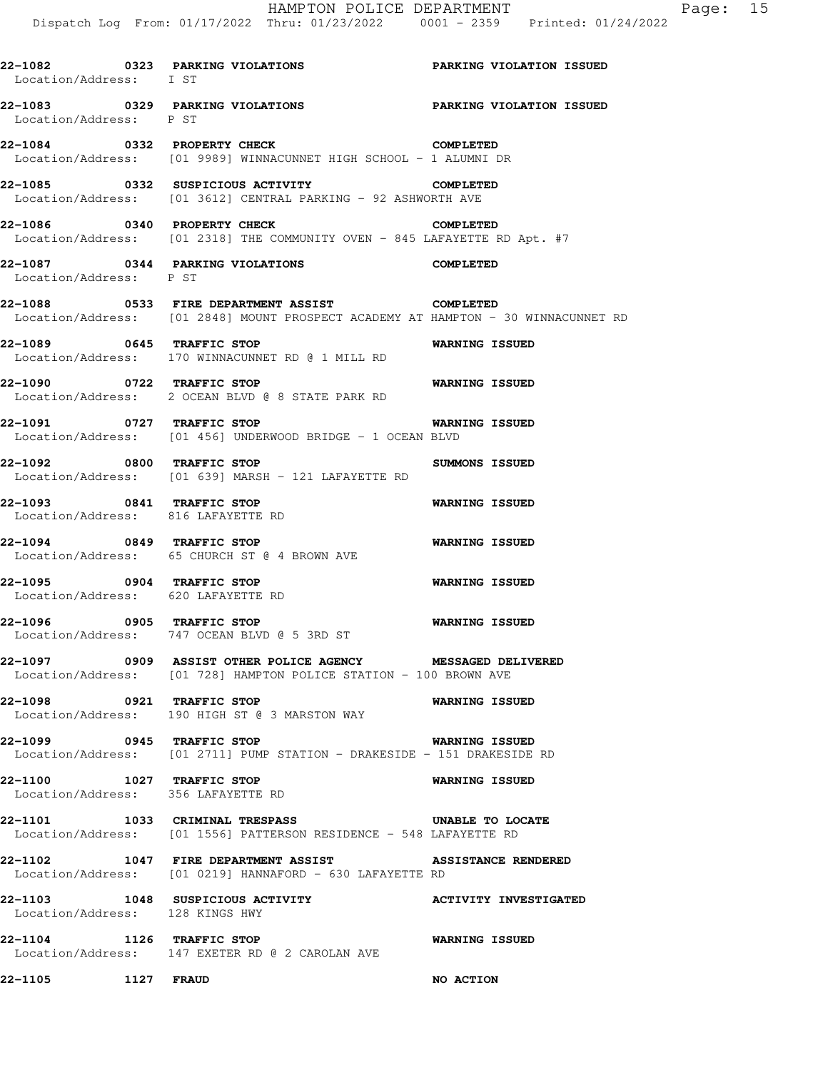HAMPTON POLICE DEPARTMENT Fage: 15 Dispatch Log From: 01/17/2022 Thru: 01/23/2022 0001 - 2359 Printed: 01/24/2022 **22-1082 0323 PARKING VIOLATIONS PARKING VIOLATION ISSUED**  Location/Address: I ST **22-1083 0329 PARKING VIOLATIONS PARKING VIOLATION ISSUED**  Location/Address: P ST **22-1084 0332 PROPERTY CHECK COMPLETED**  Location/Address: [01 9989] WINNACUNNET HIGH SCHOOL - 1 ALUMNI DR **22-1085 0332 SUSPICIOUS ACTIVITY COMPLETED**  Location/Address: [01 3612] CENTRAL PARKING - 92 ASHWORTH AVE **22-1086 0340 PROPERTY CHECK COMPLETED**  Location/Address: [01 2318] THE COMMUNITY OVEN - 845 LAFAYETTE RD Apt. #7 **22-1087 0344 PARKING VIOLATIONS COMPLETED**  Location/Address: P ST **22-1088 0533 FIRE DEPARTMENT ASSIST COMPLETED**  Location/Address: [01 2848] MOUNT PROSPECT ACADEMY AT HAMPTON - 30 WINNACUNNET RD **22-1089 0645 TRAFFIC STOP WARNING ISSUED**  Location/Address: 170 WINNACUNNET RD @ 1 MILL RD **22-1090 0722 TRAFFIC STOP WARNING ISSUED**  Location/Address: 2 OCEAN BLVD @ 8 STATE PARK RD **22-1091 0727 TRAFFIC STOP WARNING ISSUED**  Location/Address: [01 456] UNDERWOOD BRIDGE - 1 OCEAN BLVD **22-1092 0800 TRAFFIC STOP SUMMONS ISSUED**  Location/Address: [01 639] MARSH - 121 LAFAYETTE RD **22-1093 0841 TRAFFIC STOP WARNING ISSUED**  Location/Address: 816 LAFAYETTE RD **22-1094 0849 TRAFFIC STOP WARNING ISSUED**  Location/Address: 65 CHURCH ST @ 4 BROWN AVE **22-1095 0904 TRAFFIC STOP WARNING ISSUED**  Location/Address: 620 LAFAYETTE RD **22-1096 0905 TRAFFIC STOP WARNING ISSUED**  Location/Address: 747 OCEAN BLVD @ 5 3RD ST **22-1097 0909 ASSIST OTHER POLICE AGENCY MESSAGED DELIVERED**  Location/Address: [01 728] HAMPTON POLICE STATION - 100 BROWN AVE **22-1098 0921 TRAFFIC STOP WARNING ISSUED**  Location/Address: 190 HIGH ST @ 3 MARSTON WAY **22-1099 0945 TRAFFIC STOP WARNING ISSUED**  Location/Address: [01 2711] PUMP STATION - DRAKESIDE - 151 DRAKESIDE RD **22-1100 1027 TRAFFIC STOP WARNING ISSUED**  Location/Address: 356 LAFAYETTE RD **22-1101 1033 CRIMINAL TRESPASS UNABLE TO LOCATE**  Location/Address: [01 1556] PATTERSON RESIDENCE - 548 LAFAYETTE RD **22-1102 1047 FIRE DEPARTMENT ASSIST ASSISTANCE RENDERED**  Location/Address: [01 0219] HANNAFORD - 630 LAFAYETTE RD **22-1103 1048 SUSPICIOUS ACTIVITY ACTIVITY INVESTIGATED**  Location/Address: 128 KINGS HWY **22-1104 1126 TRAFFIC STOP WARNING ISSUED**  Location/Address: 147 EXETER RD @ 2 CAROLAN AVE **22-1105 1127 FRAUD NO ACTION**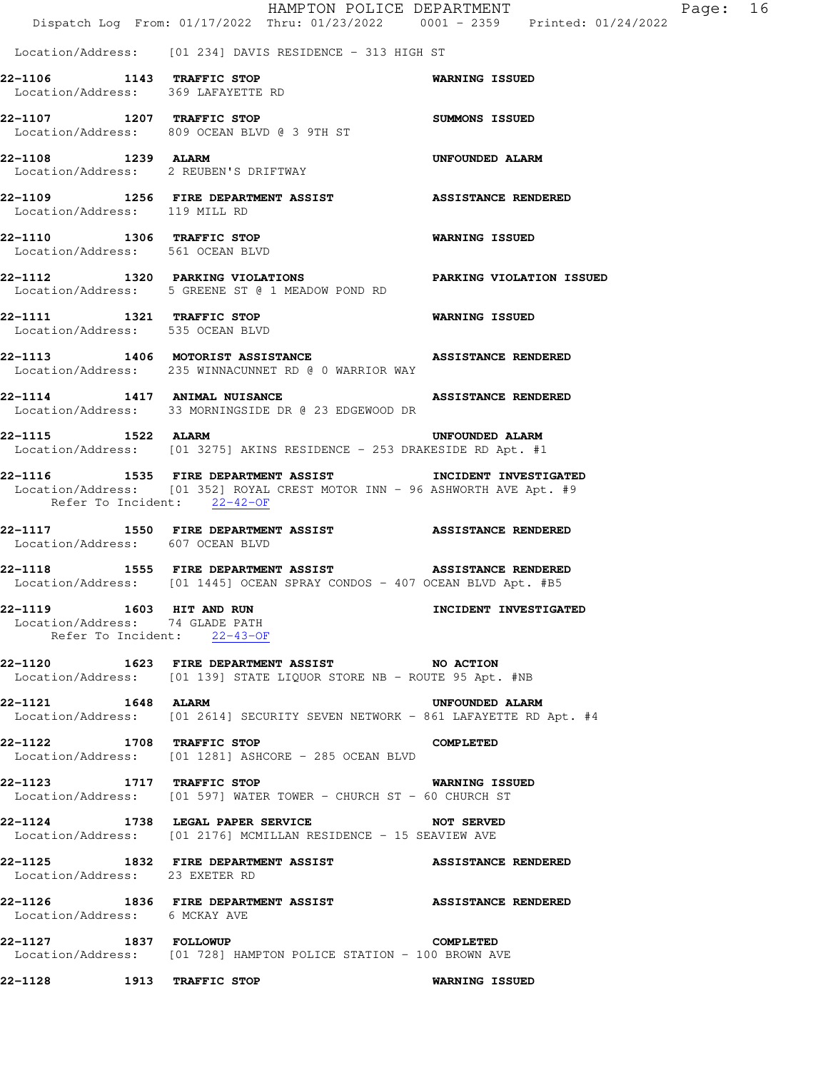|                                                               | HAMPTON POLICE DEPARTMENT<br>Dispatch Log From: 01/17/2022 Thru: 01/23/2022 0001 - 2359 Printed: 01/24/2022                         |                            | Page: 16 |  |
|---------------------------------------------------------------|-------------------------------------------------------------------------------------------------------------------------------------|----------------------------|----------|--|
|                                                               |                                                                                                                                     |                            |          |  |
|                                                               | Location/Address: [01 234] DAVIS RESIDENCE - 313 HIGH ST                                                                            |                            |          |  |
| 22-1106 1143 TRAFFIC STOP                                     | Location/Address: 369 LAFAYETTE RD                                                                                                  | <b>WARNING ISSUED</b>      |          |  |
|                                                               | 22-1107 1207 TRAFFIC STOP<br>Location/Address: 809 OCEAN BLVD @ 3 9TH ST                                                            | <b>SUMMONS ISSUED</b>      |          |  |
| 22-1108 1239 ALARM                                            | Location/Address: 2 REUBEN'S DRIFTWAY                                                                                               | <b>UNFOUNDED ALARM</b>     |          |  |
| Location/Address: 119 MILL RD                                 | 22-1109 1256 FIRE DEPARTMENT ASSIST ASSISTANCE RENDERED                                                                             |                            |          |  |
| 22-1110 1306 TRAFFIC STOP<br>Location/Address: 561 OCEAN BLVD |                                                                                                                                     | <b>WARNING ISSUED</b>      |          |  |
|                                                               | 22-1112 1320 PARKING VIOLATIONS PARKING VIOLATION ISSUED<br>Location/Address: 5 GREENE ST @ 1 MEADOW POND RD                        |                            |          |  |
| 22-1111 1321 TRAFFIC STOP<br>Location/Address: 535 OCEAN BLVD |                                                                                                                                     | <b>WARNING ISSUED</b>      |          |  |
|                                                               | 22-1113 1406 MOTORIST ASSISTANCE ASSISTANCE RENDERED<br>Location/Address: 235 WINNACUNNET RD @ 0 WARRIOR WAY                        |                            |          |  |
|                                                               | 22-1114 1417 ANIMAL NUISANCE<br>Location/Address: 33 MORNINGSIDE DR @ 23 EDGEWOOD DR                                                | <b>ASSISTANCE RENDERED</b> |          |  |
|                                                               | 22-1115 1522 ALARM<br>Location/Address: [01 3275] AKINS RESIDENCE - 253 DRAKESIDE RD Apt. #1                                        | UNFOUNDED ALARM            |          |  |
| Refer To Incident: 22-42-OF                                   | 22-1116 1535 FIRE DEPARTMENT ASSIST<br>Location/Address: [01 352] ROYAL CREST MOTOR INN - 96 ASHWORTH AVE Apt. #9                   | INCIDENT INVESTIGATED      |          |  |
| Location/Address: 607 OCEAN BLVD                              | 22-1117 1550 FIRE DEPARTMENT ASSIST ASSISTANCE RENDERED                                                                             |                            |          |  |
|                                                               | 22-1118 1555 FIRE DEPARTMENT ASSIST ASSISTANCE RENDERED<br>Location/Address: [01 1445] OCEAN SPRAY CONDOS - 407 OCEAN BLVD Apt. #B5 |                            |          |  |
| 22-1119 1603 HIT AND RUN<br>Location/Address: 74 GLADE PATH   | Refer To Incident: 22-43-OF                                                                                                         | INCIDENT INVESTIGATED      |          |  |
|                                                               | 22-1120 1623 FIRE DEPARTMENT ASSIST NO ACTION<br>Location/Address: [01 139] STATE LIQUOR STORE NB - ROUTE 95 Apt. #NB               |                            |          |  |
| 22-1121 1648 ALARM                                            | Location/Address: [01 2614] SECURITY SEVEN NETWORK - 861 LAFAYETTE RD Apt. #4                                                       | UNFOUNDED ALARM            |          |  |
| 22-1122 1708 TRAFFIC STOP                                     | Location/Address: [01 1281] ASHCORE - 285 OCEAN BLVD                                                                                | <b>COMPLETED</b>           |          |  |
| 22-1123 1717 TRAFFIC STOP                                     | Location/Address: [01 597] WATER TOWER - CHURCH ST - 60 CHURCH ST                                                                   | <b>WARNING ISSUED</b>      |          |  |
|                                                               | 22-1124 1738 LEGAL PAPER SERVICE NOT SERVED<br>Location/Address: [01 2176] MCMILLAN RESIDENCE - 15 SEAVIEW AVE                      |                            |          |  |
| Location/Address: 23 EXETER RD                                | 22-1125 1832 FIRE DEPARTMENT ASSIST ASSISTANCE RENDERED                                                                             |                            |          |  |
| Location/Address: 6 MCKAY AVE                                 | 22-1126 1836 FIRE DEPARTMENT ASSIST ASSISTANCE RENDERED                                                                             |                            |          |  |
| 22-1127 1837 FOLLOWUP                                         | Location/Address: [01 728] HAMPTON POLICE STATION - 100 BROWN AVE                                                                   | COMPLETED                  |          |  |
| 22-1128 1913 TRAFFIC STOP                                     |                                                                                                                                     | <b>WARNING ISSUED</b>      |          |  |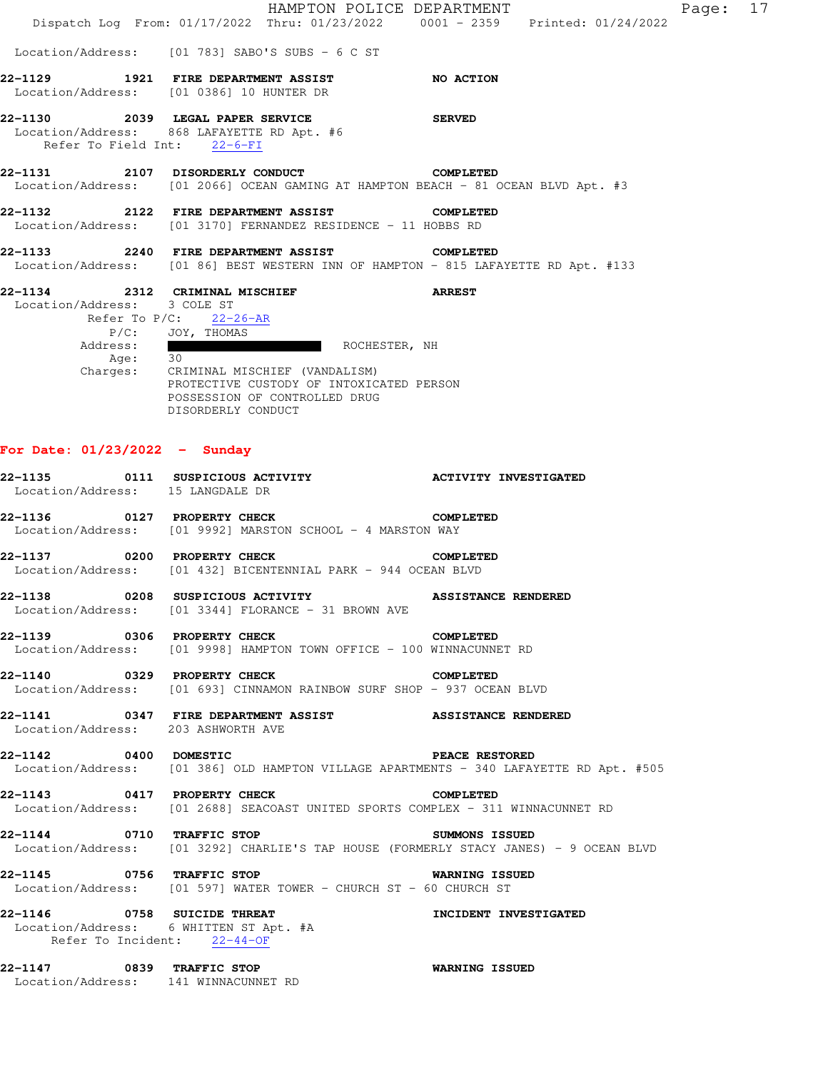|                                                                       | HAMPTON POLICE DEPARTMENT<br>Dispatch Log From: 01/17/2022 Thru: 01/23/2022 0001 - 2359 Printed: 01/24/2022                                                                                               |                            | Page: 17 |  |
|-----------------------------------------------------------------------|-----------------------------------------------------------------------------------------------------------------------------------------------------------------------------------------------------------|----------------------------|----------|--|
|                                                                       | Location/Address: [01 783] SABO'S SUBS - 6 C ST                                                                                                                                                           |                            |          |  |
|                                                                       | 22-1129 1921 FIRE DEPARTMENT ASSIST NO ACTION<br>Location/Address: [01 0386] 10 HUNTER DR                                                                                                                 |                            |          |  |
| 22-1130<br>Refer To Field Int: 22-6-FI                                | 2039 LEGAL PAPER SERVICE<br>Location/Address: 868 LAFAYETTE RD Apt. #6                                                                                                                                    | <b>SERVED</b>              |          |  |
|                                                                       | 22-1131 2107 DISORDERLY CONDUCT<br>Location/Address: [01 2066] OCEAN GAMING AT HAMPTON BEACH - 81 OCEAN BLVD Apt. #3                                                                                      | <b>COMPLETED</b>           |          |  |
|                                                                       | 22-1132 2122 FIRE DEPARTMENT ASSIST<br>Location/Address: [01 3170] FERNANDEZ RESIDENCE - 11 HOBBS RD                                                                                                      | <b>COMPLETED</b>           |          |  |
|                                                                       | 22-1133 2240 FIRE DEPARTMENT ASSIST<br>Location/Address: [01 86] BEST WESTERN INN OF HAMPTON - 815 LAFAYETTE RD Apt. #133                                                                                 | <b>COMPLETED</b>           |          |  |
| 22-1134 2312 CRIMINAL MISCHIEF<br>Location/Address: 3 COLE ST         | Refer To $P/C$ : 22-26-AR<br>P/C: JOY, THOMAS<br>Address: ROCHESTER, NH<br>Age: 30<br>Charges: CRIMINAL MISCHIEF (VANDALISM)<br>PROTECTIVE CUSTODY OF INTOXICATED PERSON<br>POSSESSION OF CONTROLLED DRUG | <b>ARREST</b>              |          |  |
| For Date: $01/23/2022 -$ Sunday<br>Location/Address: 15 LANGDALE DR   | DISORDERLY CONDUCT<br>22-1135 0111 SUSPICIOUS ACTIVITY ACTIVITY ACTIVITY INVESTIGATED                                                                                                                     |                            |          |  |
|                                                                       | 22-1136 0127 PROPERTY CHECK COMPLETED<br>Location/Address: [01 9992] MARSTON SCHOOL - 4 MARSTON WAY                                                                                                       |                            |          |  |
| 22-1137                                                               | 0200 PROPERTY CHECK<br>Location/Address: [01 432] BICENTENNIAL PARK - 944 OCEAN BLVD                                                                                                                      | <b>COMPLETED</b>           |          |  |
| 22-1138                                                               | 0208 SUSPICIOUS ACTIVITY<br>Location/Address: [01 3344] FLORANCE - 31 BROWN AVE                                                                                                                           | <b>ASSISTANCE RENDERED</b> |          |  |
|                                                                       | 22-1139 0306 PROPERTY CHECK<br>Location/Address: [01 9998] HAMPTON TOWN OFFICE - 100 WINNACUNNET RD                                                                                                       | <b>COMPLETED</b>           |          |  |
| 22-1140 0329 PROPERTY CHECK                                           | Location/Address: [01 693] CINNAMON RAINBOW SURF SHOP - 937 OCEAN BLVD                                                                                                                                    | <b>COMPLETED</b>           |          |  |
| Location/Address: 203 ASHWORTH AVE                                    | 22-1141 0347 FIRE DEPARTMENT ASSIST ASSISTANCE RENDERED                                                                                                                                                   |                            |          |  |
|                                                                       | 22-1142 0400 DOMESTIC<br>Location/Address: [01 386] OLD HAMPTON VILLAGE APARTMENTS - 340 LAFAYETTE RD Apt. #505                                                                                           | <b>PEACE RESTORED</b>      |          |  |
|                                                                       | 22-1143 0417 PROPERTY CHECK<br>Location/Address: [01 2688] SEACOAST UNITED SPORTS COMPLEX - 311 WINNACUNNET RD                                                                                            | <b>COMPLETED</b>           |          |  |
|                                                                       | 22-1144 0710 TRAFFIC STOP<br>Location/Address: [01 3292] CHARLIE'S TAP HOUSE (FORMERLY STACY JANES) - 9 OCEAN BLVD                                                                                        | SUMMONS ISSUED             |          |  |
| 22-1145 0756 TRAFFIC STOP                                             | Location/Address: [01 597] WATER TOWER - CHURCH ST - 60 CHURCH ST                                                                                                                                         | <b>WARNING ISSUED</b>      |          |  |
| Location/Address: 6 WHITTEN ST Apt. #A<br>Refer To Incident: 22-44-OF | 22-1146 0758 SUICIDE THREAT <b>120 INCIDENT INVESTIGATED</b>                                                                                                                                              |                            |          |  |
| 22-1147 0839 TRAFFIC STOP<br>Location/Address: 141 WINNACUNNET RD     |                                                                                                                                                                                                           | <b>WARNING ISSUED</b>      |          |  |